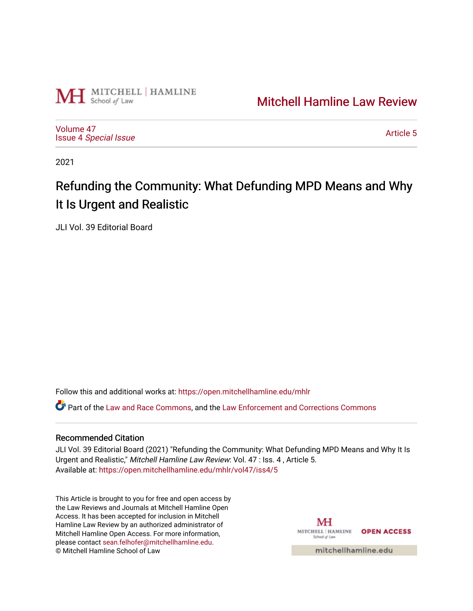

# [Mitchell Hamline Law Review](https://open.mitchellhamline.edu/mhlr)

[Volume 47](https://open.mitchellhamline.edu/mhlr/vol47) Issue 4 [Special Issue](https://open.mitchellhamline.edu/mhlr/vol47/iss4)

[Article 5](https://open.mitchellhamline.edu/mhlr/vol47/iss4/5) 

2021

# Refunding the Community: What Defunding MPD Means and Why It Is Urgent and Realistic

JLI Vol. 39 Editorial Board

Follow this and additional works at: [https://open.mitchellhamline.edu/mhlr](https://open.mitchellhamline.edu/mhlr?utm_source=open.mitchellhamline.edu%2Fmhlr%2Fvol47%2Fiss4%2F5&utm_medium=PDF&utm_campaign=PDFCoverPages) 

Part of the [Law and Race Commons,](http://network.bepress.com/hgg/discipline/1300?utm_source=open.mitchellhamline.edu%2Fmhlr%2Fvol47%2Fiss4%2F5&utm_medium=PDF&utm_campaign=PDFCoverPages) and the [Law Enforcement and Corrections Commons](http://network.bepress.com/hgg/discipline/854?utm_source=open.mitchellhamline.edu%2Fmhlr%2Fvol47%2Fiss4%2F5&utm_medium=PDF&utm_campaign=PDFCoverPages)

# Recommended Citation

JLI Vol. 39 Editorial Board (2021) "Refunding the Community: What Defunding MPD Means and Why It Is Urgent and Realistic," Mitchell Hamline Law Review: Vol. 47 : Iss. 4 , Article 5. Available at: [https://open.mitchellhamline.edu/mhlr/vol47/iss4/5](https://open.mitchellhamline.edu/mhlr/vol47/iss4/5?utm_source=open.mitchellhamline.edu%2Fmhlr%2Fvol47%2Fiss4%2F5&utm_medium=PDF&utm_campaign=PDFCoverPages) 

This Article is brought to you for free and open access by the Law Reviews and Journals at Mitchell Hamline Open Access. It has been accepted for inclusion in Mitchell Hamline Law Review by an authorized administrator of Mitchell Hamline Open Access. For more information, please contact [sean.felhofer@mitchellhamline.edu.](mailto:sean.felhofer@mitchellhamline.edu) © Mitchell Hamline School of Law

МH MITCHELL | HAMLINE OPEN ACCESS School of Law

mitchellhamline.edu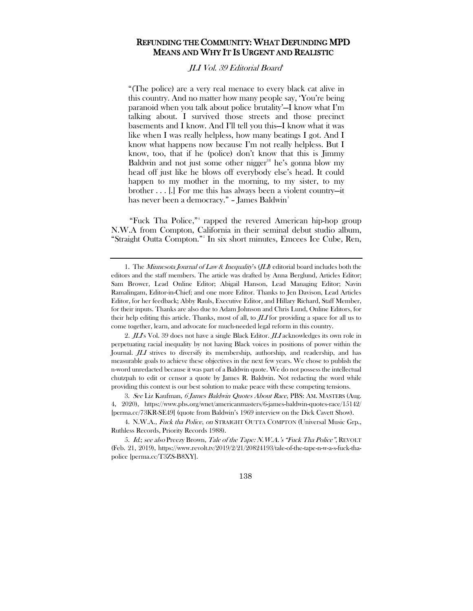# REFUNDING THE COMMUNITY: WHAT DEFUNDING MPD MEANS AND WHY IT IS URGENT AND REALISTIC

JLI Vol. 39 Editorial Board<sup>[1](#page-1-0)</sup>

"(The police) are a very real menace to every black cat alive in this country. And no matter how many people say, 'You're being paranoid when you talk about police brutality'—I know what I'm talking about. I survived those streets and those precinct basements and I know. And I'll tell you this—I know what it was like when I was really helpless, how many beatings I got. And I know what happens now because I'm not really helpless. But I know, too, that if he (police) don't know that this is Jimmy Baldwin and not just some other nigger<sup>[[2\]](#page-1-1)</sup> he's gonna blow my head off just like he blows off everybody else's head. It could happen to my mother in the morning, to my sister, to my brother . . . [.] For me this has always been a violent country—it has never been a democracy." - James Baldwin<sup>[3](#page-1-2)</sup>

<span id="page-1-5"></span>"Fuck Tha Police," rapped the revered American hip-hop group N.W.A from Compton, California in their semin[al](https://www.revolt.tv/2019/2/21/20824193/tale-of-the-tape-n-w-a-s-fuck-tha-police) debut studio album, "Straight Outta Compton."[5](#page-1-4) In six short minutes, Emcees Ice Cube, Ren,

<span id="page-1-2"></span>3. See Liz Kaufman, 6 James Baldwin Quotes About Race, PBS: AM. MASTERS (Aug. 4, 2020), https://www.pbs.org/wnet/americanmasters/6-james-baldwin-quotes-race/15142/ [perma.cc/73KR-SE49] (quote from Baldwin's 1969 interview on the Dick Cavett Show).

<span id="page-1-3"></span>4. N.W.A., Fuck tha Police, on STRAIGHT OUTTA COMPTON (Universal Music Grp., Ruthless Records, Priority Records 1988).

<span id="page-1-4"></span>5. Id.; see also Preezy Brown, Tale of the Tape: N.W.A.'s "Fuck Tha Police", REVOLT (Feb. 21, 2019), https://www.revolt.tv/2019/2/21/20824193/tale-of-the-tape-n-w-a-s-fuck-thapolice [perma.cc/T3ZS-B8XY].

138

<span id="page-1-0"></span><sup>1.</sup> The Minnesota Journal of Law & Inequality's  $(J\mathcal{L})$  editorial board includes both the editors and the staff members. The article was drafted by Anna Berglund, Articles Editor; Sam Brower, Lead Online Editor; Abigail Hanson, Lead Managing Editor; Navin Ramalingam, Editor-in-Chief; and one more Editor. Thanks to Jen Davison, Lead Articles Editor, for her feedback; Abby Rauls, Executive Editor, and Hillary Richard, Staff Member, for their inputs. Thanks are also due to Adam Johnson and Chris Lund, Online Editors, for their help editing this article. Thanks, most of all, to  $JLI$  for providing a space for all us to come together, learn, and advocate for much-needed legal reform in this country.

<span id="page-1-1"></span><sup>2.</sup>  $J\!L\!I$ s Vol. 39 does not have a single Black Editor.  $J\!L\!I$  acknowledges its own role in perpetuating racial inequality by not having Black voices in positions of power within the Journal. *JLI* strives to diversify its membership, authorship, and readership, and has measurable goals to achieve these objectives in the next few years. We chose to publish the n-word unredacted because it was part of a Baldwin quote. We do not possess the intellectual chutzpah to edit or censor a quote by James R. Baldwin. Not redacting the word while providing this context is our best solution to make peace with these competing tensions.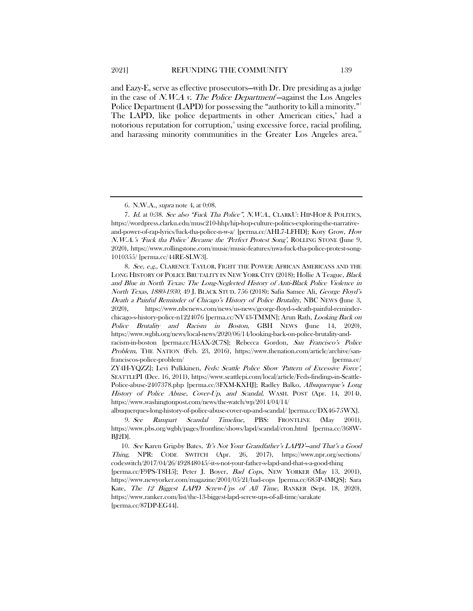<span id="page-2-5"></span>and Eazy-E, [s](https://wordpress.clarku.edu/musc210-hhp/hip-hop-culture-politics-exploring-the-narrative-and-power-of-rap-lyrics/fuck-tha-police-n-w-a/)erve as effective [p](https://www.rollingstone.com/music/music-features/nwa-fuck-tha-police-protest-song-1010355/)rosecutors—with Dr. Dre presiding as a judge in the case of *N.W.A v. The Police Department*  $-\text{against the Los Angeles}$ Police Department (LAPD) for possessing the "authority to kill a minority." The LAPD, like police departments in other American cities,<sup>[8](#page-2-2)</sup> had a notorious reputation for corruption,<sup>[9](#page-2-3)</sup> using excessive force, racial profiling, and harassing minority communities in the Greater Los Angeles area.<sup>[10](#page-2-4)</sup>

<sup>6.</sup> N.W.A., supra note [4,](#page-1-5) at 0:08.

<span id="page-2-1"></span><span id="page-2-0"></span><sup>7.</sup> Id. at 0:38. See also "Fuck Tha Police", N.W.A., CLARKU: HIP-HOP & POLITICS, https://wordpress.clarku.edu/musc210-hhp/hip-hop-culture-politics-exploring-the-narrativeand-power-of-rap-lyrics/fuck-tha-police-n-w-a/ [perma.cc/AHL7-LFHD]; Kory Grow, How N.W.A.'s 'Fuck tha Police' Became the 'Perfect Protest Song', ROLLING STONE (June 9, 2020), https://www.rollingstone.com/music/music-features/nwa-fuck-tha-police-protest-song-1010355/ [perma.cc/44RE-SLW3].

<span id="page-2-2"></span><sup>8.</sup> See, e.g., CLARENCE TAYLOR, FIGHT THE POWER: AFRICAN AMERICANS AND THE LONG HISTORY OF POLICE BRUTALITY IN NEW YORK CITY (2018); Hollie A Teague, Black and Blue in North Texas: The Long-Neglected History of Anti-Black Police Violence in North Texas, 1880-1930, 49 J. BLACK STUD. 756 (2018); Safia Samee Ali, George Floyd's Death a Painful Reminder of Chicago's History of Police Brutality, NBC NEWS (June 3, 2020), https://www.nbcnews.com/news/us-news/george-floyd-s-death-painful-reminderchicago-s-history-police-n1224076 [perma.cc/NV43-TMMN]; Arun Rath, Looking Back on Police Brutality and Racism in Boston, GBH NEWS (June 14, 2020), https://www.wgbh.org/news/local-news/2020/06/14/looking-back-on-police-brutality-and-

racism-in-boston [perma.cc/H5AX-2C7S]; Rebecca Gordon, San Francisco's Police Problem, THE NATION (Feb. 23, 2016), https://www.thenation.com/article/archive/sanfranciscos-police-problem/ [perma.cc/

ZY4H-YQZZ]; Levi Pulkkinen, Feds: Seattle Police Show 'Pattern of Excessive Force', SEATTLEPI (Dec. 16, 2011), https://www.seattlepi.com/local/article/Feds-findings-in-Seattle-Police-abuse-2407378.php [perma.cc/3FXM-KXHJ]; Radley Balko, Albuquerque's Long History of Police Abuse, Cover-Up, and Scandal, WASH. POST (Apr. 14, 2014), https://www.washingtonpost.com/news/the-watch/wp/2014/04/14/

albuquerques-long-history-of-police-abuse-cover-up-and-scandal/ [perma.cc/DX46-75WX].

<span id="page-2-3"></span><sup>9.</sup> See Rampart Scandal Timeline, PBS: FRONTLINE (May 2001), https://www.pbs.org/wgbh/pages/frontline/shows/lapd/scandal/cron.html [perma.cc/368W-BJ2D].

<span id="page-2-4"></span><sup>10.</sup> See Karen Grigsby Bates, 'It's Not Your Grandfather's LAPD'—and That's a Good Thing, NPR: CODE SWITCH (Apr. 26, 2017), https://www.npr.org/sections/ codeswitch/2017/04/26/492848045/-it-s-not-your-father-s-lapd-and-that-s-a-good-thing [perma.cc/F9PS-T8H5]; Peter J. Boyer, Bad Cops, NEW YORKER (May 13, 2001),

https://www.newyorker.com/magazine/2001/05/21/bad-cops [perma.cc/685P-4MQS]; Sara Kate, The 12 Biggest LAPD Screw-Ups of All Time, RANKER (Sept. 18, 2020), https://www.ranker.com/list/the-13-biggest-lapd-screw-ups-of-all-time/sarakate [perma.cc/87DP-EG44].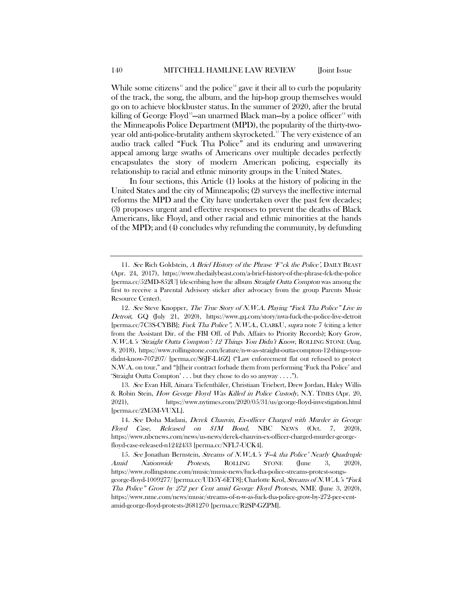<span id="page-3-5"></span>While some citizens<sup>[11](#page-3-0)</sup> and the police<sup>[12](#page-3-1)</sup> g[a](https://wordpress.clarku.edu/musc210-hhp/hip-hop-culture-politics-exploring-the-narrative-and-power-of-rap-lyrics/fuck-tha-police-n-w-a/)ve it their all t[o](https://www.rollingstone.com/feature/n-w-as-straight-outta-compton-12-things-you-didnt-know-707207/) curb the popularity of the track, the song, the album, and the hip-hop group themselves would go on to achieve blockbuster status. In the summer of 2020, after the brutal killing of George Floyd $^{\text{\tiny{13}}}$  $^{\text{\tiny{13}}}$  $^{\text{\tiny{13}}}$ —an unarmed Black man—by a police officer $^{\text{\tiny{14}}}$  $^{\text{\tiny{14}}}$  $^{\text{\tiny{14}}}$  with the Minneapolis Police Department (MPD), the popularity of the thirty-two-year old anti-police-brutality anthem skyrocketed.<sup>[15](#page-3-4)</sup> The very existence of an audio track called "Fuck Tha Police" and its enduring and unwavering appeal among large swaths of Americans over multiple decades perfectly encapsulates the story of modern American policing, especially its relationship to racial and ethnic minority groups in the United States.

In four sections, this Article (1) looks at the history of policing in the United States and the city of Minneapolis; (2) surveys the ineffective internal reforms the MPD and the City have undertaken over the past few decades; (3) proposes urgent and effective responses to prevent the deaths of Black Americans, like Floyd, and other racial and ethnic minorities at the hands of the MPD; and (4) concludes why refunding the community, by defunding

<span id="page-3-2"></span>13. See Evan Hill, Ainara Tiefenthäler, Christiaan Triebert, Drew Jordan, Haley Willis & Robin Stein, How George Floyd Was Killed in Police Custody, N.Y. TIMES (Apr. 20, 2021), https://www.nytimes.com/2020/05/31/us/george-floyd-investigation.html [perma.cc/2M5M-VUXL].

<span id="page-3-0"></span><sup>11.</sup> See Rich Goldstein, A Brief History of the Phrase 'F<sup>\*</sup>ck the Police', DAILY BEAST (Apr. 24, 2017), https://www.thedailybeast.com/a-brief-history-of-the-phrase-fck-the-police [perma.cc/52MD-852U] (describing how the album Straight Outta Compton was among the first to receive a Parental Advisory sticker after advocacy from the group Parents Music Resource Center).

<span id="page-3-1"></span><sup>12.</sup> See Steve Knopper, The True Story of N.W.A. Playing "Fuck Tha Police" Live in Detroit, GQ (July 21, 2020), https://www.gq.com/story/nwa-fuck-the-police-live-detroit [perma.cc/7C3S-CYBB]; Fuck Tha Police", N.W.A., CLARKU, supra not[e 7](#page-2-5) (citing a letter from the Assistant Dir. of the FBI Off. of Pub. Affairs to Priority Records); Kory Grow, N.W.A.'s 'Straight Outta Compton': 12 Things You Didn't Know, ROLLING STONE (Aug. 8, 2018), https://www.rollingstone.com/feature/n-w-as-straight-outta-compton-12-things-youdidnt-know-707207/ [perma.cc/S6JF-L46Z] ("Law enforcement flat out refused to protect N.W.A. on tour," and "[t]heir contract forbade them from performing 'Fuck tha Police' and 'Straight Outta Compton' . . . but they chose to do so anyway . . . .").

<span id="page-3-3"></span><sup>14.</sup> See Doha Madani, Derek Chauvin, Ex-officer Charged with Murder in George Floyd Case, Released on \$1M Bond, NBC NEWS (Oct. 7, 2020), https://www.nbcnews.com/news/us-news/derek-chauvin-ex-officer-charged-murder-georgefloyd-case-released-n1242433 [perma.cc/NFL7-UCK4].

<span id="page-3-4"></span><sup>15.</sup> See Jonathan Bernstein, Streams of N.W.A.'s 'F-k tha Police' Nearly Quadruple Amid Nationwide Protests, ROLLING STONE (June 3, 2020), https://www.rollingstone.com/music/music-news/fuck-tha-police-streams-protest-songsgeorge-floyd-1009277/ [perma.cc/UD5Y-6ET8]; Charlotte Krol, Streams of N.W.A.'s "Fuck Tha Police" Grow by 272 per Cent amid George Floyd Protests, NME (June 3, 2020), https://www.nme.com/news/music/streams-of-n-w-as-fuck-tha-police-grow-by-272-per-centamid-george-floyd-protests-2681270 [perma.cc/R2SP-GZPM].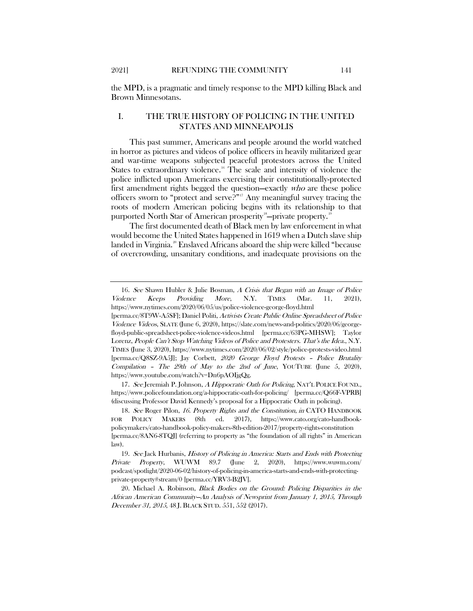## I. THE TRUE HISTORY OF POLICING IN THE UNITED STATES AND MINNEAPOLIS

This past summer, Americans and people around the world watched in horror as pictures and videos of police officers in heavily militarized gear and war-time weapons subjected peaceful protestors across the United States to extraordinary violence.<sup>16</sup> The scale and intensity of violence the police inflicted upon Americans exercising their constitutionally-protected first amendment rights begged the question—exactly who are these police officers sworn to "protect and serve?"<sup>[17](#page-4-1)</sup> Any meaningful survey tracing the roots of modern American policing begins with its relationship to that purported North Star of American prosperity $^{\text{\tiny{18}}}$  $^{\text{\tiny{18}}}$  $^{\text{\tiny{18}}}$ —private property. $^{\text{\tiny{19}}}$  $^{\text{\tiny{19}}}$  $^{\text{\tiny{19}}}$ 

<span id="page-4-5"></span>The first documented death of Black men by law enforcement in what would become the United States happened in 1619 when a Dutch slave ship landed in Virginia.<sup>[20](#page-4-4)</sup> Enslaved Africans aboard the ship were killed "because of overcrowding, unsanitary conditions, and inadequate provisions on the

<span id="page-4-1"></span>17. See Jeremiah P. Johnson, A Hippocratic Oath for Policing, NAT'L POLICE FOUND., https://www.policefoundation.org/a-hippocratic-oath-for-policing/ [perma.cc/Q66F-VPRB] (discussing Professor David Kennedy's proposal for a Hippocratic Oath in policing).

<span id="page-4-0"></span><sup>16.</sup> See Shawn Hubler & Julie Bosman, A Crisis that Began with an Image of Police Violence Keeps Providing More, N.Y. TIMES (Mar. 11, 2021), https://www.nytimes.com/2020/06/05/us/police-violence-george-floyd.html

<sup>[</sup>perma.cc/8T9W-A5SF]; Daniel Politi, Activists Create Public Online Spreadsheet of Police Violence Videos, SLATE (June 6, 2020), https://slate.com/news-and-politics/2020/06/georgefloyd-public-spreadsheet-police-violence-videos.html [perma.cc/63PG-MHSW]; Taylor Lorenz, People Can't Stop Watching Videos of Police and Protesters. That's the Idea., N.Y. TIMES (June 3, 2020), https://www.nytimes.com/2020/06/02/style/police-protests-video.html [perma.cc/Q8SZ-9A5J]; Jay Corbett, 2020 George Floyd Protests – Police Brutality Compilation - The 29th of May to the 2nd of June, YOUTUBE (June 5, 2020), https://www.youtube.com/watch?v=Dn6pAOIjgQg.

<span id="page-4-2"></span><sup>18.</sup> See Roger Pilon, 16. Property Rights and the Constitution, in CATO HANDBOOK FOR POLICY MAKERS (8th ed. 2017), https://www.cato.org/cato-handbookpolicymakers/cato-handbook-policy-makers-8th-edition-2017/property-rights-constitution [perma.cc/8AN6-8TQJ] (referring to property as "the foundation of all rights" in American law).

<span id="page-4-3"></span><sup>19.</sup> See Jack Hurbanis, History of Policing in America: Starts and Ends with Protecting Private Property, WUWM 89.7 (June 2, 2020), https://www.wuwm.com/ podcast/spotlight/2020-06-02/history-of-policing-in-america-starts-and-ends-with-protectingprivate-property#stream/0 [perma.cc/YRV3-B2JV].

<span id="page-4-4"></span><sup>20.</sup> Michael A. Robinson, Black Bodies on the Ground: Policing Disparities in the African American Community—An Analysis of Newsprint from January 1, 2015, Through December 31, 2015, 48 J. BLACK STUD. 551, 552 (2017).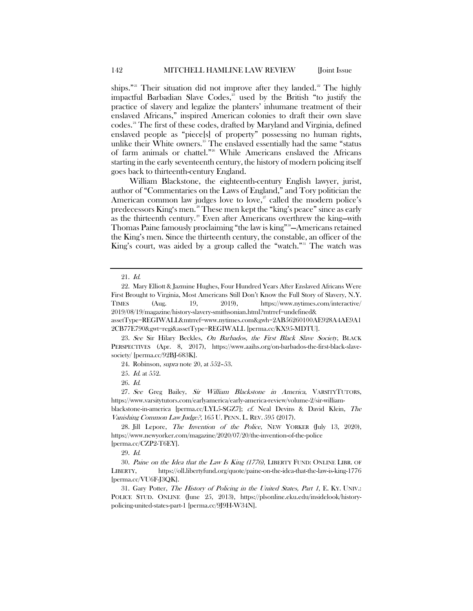ships."<sup>[21](#page-5-0)</sup> Their situation did not improve after they landed.<sup>[22](#page-5-1)</sup> The highly impactful Barbadian Slave Codes,<sup>[23](#page-5-2)</sup> used by the British "to justify the practice of slavery and legalize the planters' inhumane treatment of their enslaved Africans," inspired American colonies to draft their own [sl](https://journals.sagepub.com/doi/10.1177/0021934717702134)ave [co](https://journals.sagepub.com/doi/10.1177/0021934717702134)des.[24](#page-5-3) The first of these codes, drafted by Maryland and Virginia, defi[ned](https://journals.sagepub.com/doi/10.1177/0021934717702134) enslaved people as "piece[s] of property" possessing no human rights, unlike their White owners.<sup>[25](#page-5-4)</sup> The enslaved essentially had the same "status" of farm animals or chattel."[26](#page-5-5) While Americans enslaved the Africans starting in the early seventeenth century, the history of modern policing itself goes back to thirteenth-century England.

<span id="page-5-11"></span>William Blackstone, the eighteenth-century English lawyer, jurist, author of "Commentaries on the Laws of England," and Tory politician the American common law judges love to love, $\overline{z}$  called the modern police's predecessor[s King's](https://www.newyorker.com/magazine/2020/07/20/the-invention-of-the-police) men.[28](#page-5-7) These men kept the "king's peace" since as early as the thirteenth century.<sup>[29](#page-5-8)</sup> Even after Americans overthrew the king—with Thomas Paine famously proclaiming "the law is king" [30](#page-5-9) —Americans retained the King's men. Since the thirteenth century, the constable, an officer of the King's court, was aided by a group called the "watch."<sup>[31](#page-5-10)</sup> The watch was

<span id="page-5-6"></span><span id="page-5-5"></span><span id="page-5-4"></span>27. See Greg Bailey, Sir William Blackstone in America, VARSITYTUTORS, https://www.varsitytutors.com/earlyamerica/early-america-review/volume-2/sir-williamblackstone-in-america [perma.cc/LYL5-SGZ7]; cf. Neal Devins & David Klein, The Vanishing Common Law Judge?, 165 U. PENN. L. REV. 595 (2017).

<span id="page-5-7"></span>28. Jill Lepore, The Invention of the Police, NEW YORKER (July 13, 2020), https://www.newyorker.com/magazine/2020/07/20/the-invention-of-the-police [perma.cc/CZP2-T6EY].

29. Id.

<span id="page-5-9"></span><span id="page-5-8"></span>30. Paine on the Idea that the Law Is King (1776), LIBERTY FUND: ONLINE LIBR. OF LIBERTY, https://oll.libertyfund.org/quote/paine-on-the-idea-that-the-law-is-king-1776 [perma.cc/VU6F-J3QK].

<span id="page-5-10"></span>31. Gary Potter, The History of Policing in the United States, Part 1, E. KY. UNIV.: POLICE STUD. ONLINE (June 25, 2013), https://plsonline.eku.edu/insidelook/historypolicing-united-states-part-1 [perma.cc/9J9H-W34N].

<span id="page-5-12"></span><sup>21.</sup> Id.

<span id="page-5-1"></span><span id="page-5-0"></span><sup>22.</sup> Mary Elliott & Jazmine Hughes, Four Hundred Years After Enslaved Africans Were First Brought to Virginia, Most Americans Still Don't Know the Full Story of Slavery, N.Y. TIMES (Aug. 19, 2019), https://www.nytimes.com/interactive/ 2019/08/19/magazine/history-slavery-smithsonian.html?mtrref=undefined& assetType=REGIWALL&mtrref=www.nytimes.com&gwh=2AB56260100AE928A4AE9A1

<sup>2</sup>CB77E790&gwt=regi&assetType=REGIWALL [perma.cc/KX95-MDTU].

<span id="page-5-3"></span><span id="page-5-2"></span><sup>23.</sup> See Sir Hilary Beckles, On Barbados, the First Black Slave Society, BLACK PERSPECTIVES (Apr. 8, 2017), https://www.aaihs.org/on-barbados-the-first-black-slavesociety/ [perma.cc/92BJ-683K].

<sup>24.</sup> Robinson, supra not[e 20,](#page-4-5) at 552–53.

<sup>25.</sup> Id. at 552.

<sup>26.</sup> Id.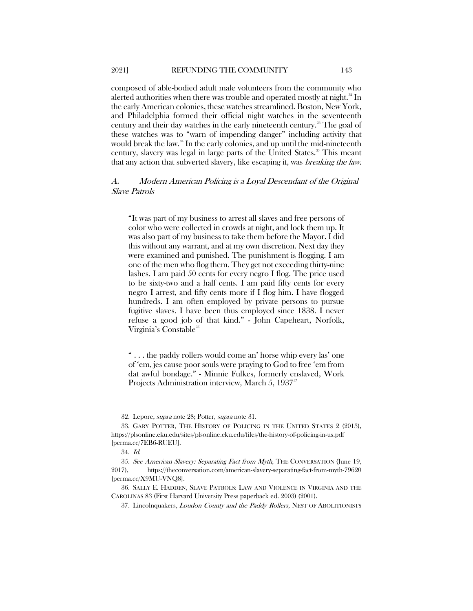<span id="page-6-6"></span>composed of able-bodied adult male volunteers from the community who alerted authorities when there was trouble and operated mostly at night.<sup>[32](#page-6-0)</sup> In the early American colonies, these watches streamlined. Boston, New York, and Philadelphia formed their official night watches in the seventeenth century and their day watches in the early nineteenth century. [33](#page-6-1) The goal of these watches was to "warn of impending danger" including activity that would break the law.<sup>[34](#page-6-2)</sup> In the early colonies, and up until the mid-nineteenth century, slavery was legal in large parts of the United States.<sup>[35](#page-6-3)</sup> This meant that any action that subverted slavery, like escaping it, was breaking the law.

# A. Modern American Policing is a Loyal Descendant of the Original Slave Patrols

"It was part of my business to arrest all slaves and free persons of color who were collected in crowds at night, and lock them up. It was also part of my business to take them before the Mayor. I did this without any warrant, and at my own discretion. Next day they were examined and punished. The punishment is flogging. I am one of the men who flog them. They get not exceeding thirty-nine lashes. I am paid 50 cents for every negro I flog. The price used to be sixty-two and a half cents. I am paid fifty cents for every negro I arrest, and fifty cents more if I flog him. I have flogged hundreds. I am often employed by private persons to pursue fugitive slaves. I have been thus employed since 1838. I never refuse a good job of that kind." - John Capeheart, Norfolk, Virginia's Constable<sup>[36](#page-6-4)</sup>

<span id="page-6-7"></span>" . . . the paddy rollers would come an' horse whip every las' one of 'em, jes cause poor souls were praying to God to free 'em from dat awful bondage." - Minnie Fulkes, formerly enslaved, Work Projects Administration interview, March 5, 19[37](#page-6-5)<sup>37</sup>

<sup>32.</sup> Lepore, *supra* not[e 28;](#page-5-11) Potter, *supra* note [31.](#page-5-12)

<span id="page-6-1"></span><span id="page-6-0"></span><sup>33.</sup> GARY POTTER, THE HISTORY OF POLICING IN THE UNITED STATES 2 (2013), https://plsonline.eku.edu/sites/plsonline.eku.edu/files/the-history-of-policing-in-us.pdf [perma.cc/7EB6-RUEU].

<sup>34.</sup> Id.

<span id="page-6-3"></span><span id="page-6-2"></span><sup>35.</sup> See American Slavery: Separating Fact from Myth, THE CONVERSATION (June 19, 2017), https://theconversation.com/american-slavery-separating-fact-from-myth-79620 [perma.cc/X9MU-VNQ8].

<span id="page-6-5"></span><span id="page-6-4"></span><sup>36.</sup> SALLY E. HADDEN, SLAVE PATROLS: LAW AND VIOLENCE IN VIRGINIA AND THE CAROLINAS 83 (First Harvard University Press paperback ed. 2003) (2001).

<sup>37.</sup> Lincolnquakers, Loudon County and the Paddy Rollers, NEST OF ABOLITIONISTS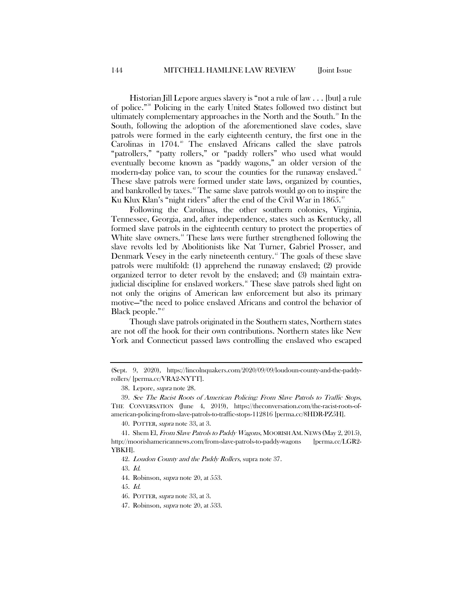<span id="page-7-10"></span>Historian Jill Lepore argues slavery is "not a rule of law . . . [but] a rule of police." [38](#page-7-0) Policing in the early United States followed two distinct but ultimately complementary approaches in the North and the South.<sup>[39](#page-7-1)</sup> In the South, following the adoption of the aforementioned slave codes, slave patrols were formed in the early eighteenth century, the first one in the Carolinas in  $1704.^{\circ}$  The enslaved Africans called the slave patrols "patrollers," "patty rollers," or "paddy rollers" who used what would eventually become known as "paddy wagons," an older version of the modern-day police van[,](https://medium.com/an-injustice/the-patty-rollers-have-returned-but-did-they-ever-really-leave-b70f9b22b58b) to scour the counties for the runaway enslaved.<sup>[41](#page-7-3)</sup> These slave patrols were formed under state laws, organized by counties, and bankrolled by taxes.<sup>[42](#page-7-4)</sup> The same slave patrols would go on to inspire the Ku Klux Klan's "night riders" after the end of the Civil War in 1865.<sup>[43](#page-7-5)</sup>

Following the Carolinas, the other southern colonies, Virginia, Tennessee, Georgia, and, after independence, states such as Kentucky, all formed slave patrols in the eighteenth century to protect the properties of White slave owners.<sup>[44](#page-7-6)</sup> These laws were further strengthened following the slave revolts led by Abolitionists like Nat Turner, Gabriel Prosser, and Denmark Vesey in the early nineteenth century.<sup>[45](#page-7-7)</sup> The goals of these slave patrols were multifold: (1) apprehend the runaway enslaved; (2) provide organized terror to deter revolt by the enslaved; and (3) maintain extra-judicial discipline for enslaved workers.<sup>[46](#page-7-8)</sup> These slave patrols shed light on not only the origins of American law enforcement but also its primary motive—"the need to police enslaved Africans and control the behavior of Black people."<sup>[47](#page-7-9)</sup>

Though slave patrols originated in the Southern states, Northern states are not off the hook for their own contributions. Northern states like New York and Connecticut passed laws controlling the enslaved who escaped

40. POTTER, supra note [33,](#page-6-6) at 3.

<sup>(</sup>Sept. 9, 2020), https://lincolnquakers.com/2020/09/09/loudoun-county-and-the-paddyrollers/ [perma.cc/VRA2-NYTT].

<sup>38.</sup> Lepore, supra not[e 28.](#page-5-11)

<span id="page-7-1"></span><span id="page-7-0"></span><sup>39.</sup> See The Racist Roots of American Policing: From Slave Patrols to Traffic Stops, THE CONVERSATION (June 4, 2019), https://theconversation.com/the-racist-roots-ofamerican-policing-from-slave-patrols-to-traffic-stops-112816 [perma.cc/8HDR-PZ5H].

<span id="page-7-6"></span><span id="page-7-5"></span><span id="page-7-4"></span><span id="page-7-3"></span><span id="page-7-2"></span><sup>41.</sup> Shem El, From Slave Patrols to Paddy Wagons, MOORISH AM. NEWS (May 2, 2015), http://moorishamericannews.com/from-slave-patrols-to-paddy-wagons [perma.cc/LGR2- YBKH].

<sup>42.</sup> Loudon County and the Paddy Rollers, supra note [37.](#page-6-7)

<sup>43.</sup> Id.

<sup>44.</sup> Robinson, *supra* not[e 20,](#page-4-5) at 553.

<span id="page-7-7"></span><sup>45.</sup> Id.

<span id="page-7-8"></span><sup>46.</sup> POTTER, supra note [33,](#page-6-6) at 3.

<span id="page-7-9"></span><sup>47.</sup> Robinson, supra not[e 20,](#page-4-5) at 533.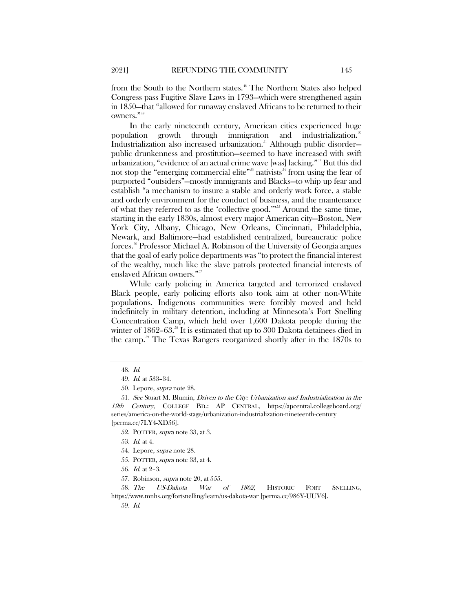from the South to the Northern states.<sup>[48](#page-8-0)</sup> The Northern States also helped Congress pass Fugitive Slave Laws in 1793—which were strengthened again in 1850—that "allowed for runaway enslaved Africans to be returned to their owners." [49](#page-8-1)

In the early nineteenth century, American cities experienced huge population growth through immigration and industrialization.<sup>51</sup> Industrialization also increased urbanization.<sup>[51](#page-8-3)</sup> Although public disorderpublic drunkenness and prostitution—seemed to have increased with swift urbanization, "evidence of an actual crime wave [was] lacking." [52](#page-8-4) But this did not stop the "emerging commercial elite"<sup>33</sup> nativists<sup>[54](#page-8-6)</sup> from using the fear of purported "outsiders"—mostly immigrants and Blacks—to whip up fear and establish "a mechanism to insure a stable and orderly work force, a stable and orderly environment for the conduct of business, and the maintenance of what they referred to as the ['c](https://plsonline.eku.edu/sites/plsonline.eku.edu/files/the-history-of-policing-in-us.pdf)ollective good.'" [55](#page-8-7) Around the same time, starting in the early 1830s, almost every major American city—Boston, New York City, Albany, Chicago, New Orleans, Cincinnati, Philadelphia, Newark, and Baltimore—had established centralized, bureaucratic police forces.[56](#page-8-8) Professor Michael A. Robinson of the University of Georgia [argues](https://journals.sagepub.com/doi/10.1177/0021934717702134) that the goal of early police departments was "to protect the financial interest of the wealthy, much like the slave patrols protected financial interests of enslaved African owners."<sup>[57](#page-8-9)</sup>

While early policing in America targeted and terrorized enslaved Black people, early policing efforts also took aim at other non-White populations. Indigenous communities were forcibly moved and held indefinitely in military detention, including at Minnesota's Fort Snelling Concentration Camp, which held over 1,600 Dakota people during the winter of  $1862-63.^{ss}$  It is estimated that up to 300 Dakota detainees died in the camp.[59](#page-8-11) The Texas Rangers reorganized shortly after in the 1870s to

<sup>48.</sup> Id.

<sup>49.</sup> Id. at 533–34.

<sup>50.</sup> Lepore, supra not[e 28.](#page-5-11)

<span id="page-8-5"></span><span id="page-8-4"></span><span id="page-8-3"></span><span id="page-8-2"></span><span id="page-8-1"></span><span id="page-8-0"></span><sup>51.</sup> See Stuart M. Blumin, Driven to the City: Urbanization and Industrialization in the 19th Century, COLLEGE BD.: AP CENTRAL, https://apcentral.collegeboard.org/ series/america-on-the-world-stage/urbanization-industrialization-nineteenth-century [perma.cc/7LY4-XD56].

<sup>52.</sup> POTTER, supra not[e 33,](#page-6-6) at 3.

<sup>53.</sup> Id. at 4.

<sup>54.</sup> Lepore, supra not[e 28.](#page-5-11)

<sup>55.</sup> POTTER, supra not[e 33,](#page-6-6) at 4.

<sup>56.</sup> Id. at 2–3.

<sup>57.</sup> Robinson, supra not[e 20,](#page-4-5) at 555.

<span id="page-8-11"></span><span id="page-8-10"></span><span id="page-8-9"></span><span id="page-8-8"></span><span id="page-8-7"></span><span id="page-8-6"></span><sup>58.</sup> The US-Dakota War of 1862, HISTORIC FORT SNELLING, https://www.mnhs.org/fortsnelling/learn/us-dakota-war [perma.cc/986Y-UUV6].

<sup>59.</sup> Id.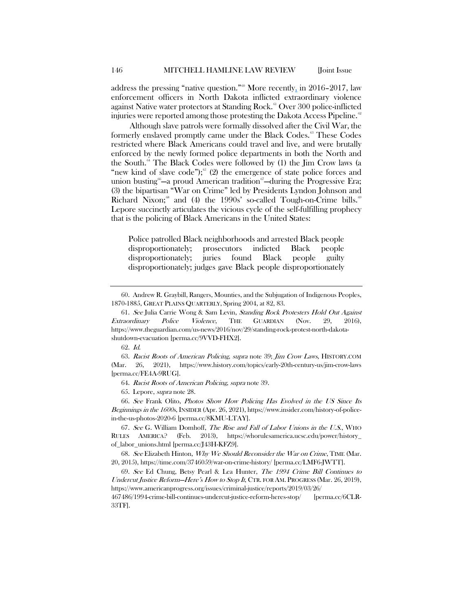address the pressing "native question."<sup>[60](#page-9-0)</sup> More recently, in 2016–2017, law enforcement officers in North Dakota inflicted extraordinary violence against Native water protectors at Standing Rock.<sup>[61](#page-9-1)</sup> Over 300 police-inflicted injuries were reported among those protesting the Dakota Access Pipeline.<sup> $\alpha$ </sup>

Although slave patrols were formally dissolved after the Civil War, the formerly enslaved promptly came under the Black Codes. [63](#page-9-3) These Codes restricted where Black Americans could travel and live, and were brutally enforced by the newly formed police departments in both the North and the South.<sup> $64$ </sup> The Black Codes were followed by (1) the Jim Crow laws (a "new kind of slave code"); $65$  (2) the emergence of state police forces and union busting<sup>[66](#page-9-6)</sup>—a proud American tradition<sup>[67](#page-9-7)</sup>—during the Progressive Era; (3) the bipartisan "War on Crime" led by Presidents Lyndon Johnson and Richard Nixon;<sup>[68](#page-9-8)</[s](https://www.americanprogress.org/issues/criminal-justice/reports/2019/03/26/467486/1994-crime-bill-continues-undercut-justice-reform-heres-stop/)up> and (4) the 1990s' so-called Tough-on-Crime bills.<sup>6</sup> Lepore succinctly articulates the vicious cycle of the self-fulfilling prophecy that is the policing of Black Americans in the United States:

Police patrolled Black neighborhoods and arrested Black people disproportionately; prosecutors indicted Black people disproportionately; juries found Black people guilty disproportionately; judges gave Black people disproportionately

65. Lepore, supra not[e 28.](#page-5-11)

<span id="page-9-6"></span><span id="page-9-5"></span><span id="page-9-4"></span>66. See Frank Olito, Photos Show How Policing Has Evolved in the US Since Its Beginnings in the 1600s, INSIDER (Apr. 26, 2021), https://www.insider.com/history-of-policein-the-us-photos-2020-6 [perma.cc/8KMU-LTAY].

<span id="page-9-7"></span>67. See G. William Domhoff, The Rise and Fall of Labor Unions in the U.S., WHO RULES AMERICA? (Feb. 2013), https://whorulesamerica.ucsc.edu/power/history\_ of\_labor\_unions.html [perma.cc/J43H-KFZ9].

<span id="page-9-8"></span>68. See Elizabeth Hinton, Why We Should Reconsider the War on Crime, TIME (Mar. 20, 2015), https://time.com/3746059/war-on-crime-history/ [perma.cc/LMF6-JWTT].

<span id="page-9-9"></span>69. See Ed Chung, Betsy Pearl & Lea Hunter, The 1994 Crime Bill Continues to Undercut Justice Reform—Here's How to Stop It, CTR. FOR AM. PROGRESS (Mar. 26, 2019), https://www.americanprogress.org/issues/criminal-justice/reports/2019/03/26/

467486/1994-crime-bill-continues-undercut-justice-reform-heres-stop/ [perma.cc/6CLR-33TF].

<span id="page-9-0"></span><sup>60.</sup> Andrew R. Graybill, Rangers, Mounties, and the Subjugation of Indigenous Peoples, 1870-1885, GREAT PLAINS QUARTERLY, Spring 2004, at 82, 83.

<span id="page-9-1"></span><sup>61.</sup> See Julia Carrie Wong & Sam Levin, Standing Rock Protesters Hold Out Against Extraordinary Police Violence, THE GUARDIAN (Nov. 29, 2016), https://www.theguardian.com/us-news/2016/nov/29/standing-rock-protest-north-dakotashutdown-evacuation [perma.cc/9VVD-FHX2].

<sup>62.</sup> Id.

<span id="page-9-3"></span><span id="page-9-2"></span><sup>63.</sup> Racist Roots of American Policing, supra note [39;](#page-7-10) Jim Crow Laws, HISTORY.COM (Mar. 26, 2021), https://www.history.com/topics/early-20th-century-us/jim-crow-laws [perma.cc/FE4A-9RUG].

<sup>64.</sup> Racist Roots of American Policing, supra not[e 39.](#page-7-10)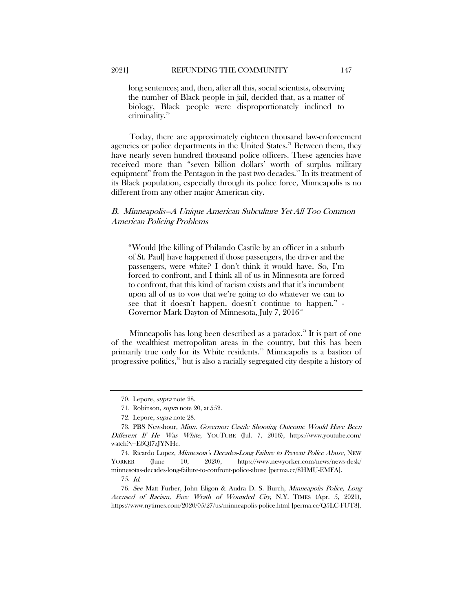long sentences; and, then, after all this, social scientists, observing the number of Black people in jail, decided that, as a matter of biology, Black people were disproportionately inclined to criminality. $\frac{70}{2}$  $\frac{70}{2}$  $\frac{70}{2}$ 

Today, there are approximately eighteen thousand law-enforcement agencies or police departments in the United States.<sup> $n$ </sup> Between them, they have nearly seven hundred thousand police officers. These agencies have received more than "seven billion dollars' worth of surplus military equipment" from the Pentagon in the past two decades.<sup>[72](#page-10-2)</sup> In its treatment of its Black population, especially through its police force, Minneapolis is no different from any other major American city.

# B. Minneapolis—A Unique American Subculture Yet All Too Common American Policing Problems

"Would [the killing of Philando Castile by an officer in a suburb of St. Paul] have happened if those passengers, the driver and the passengers, were white? I don't think it would have. So, I'm forced to confront, and I think all of us in Minnesota are forced to confront, that this kind of racism exists and that it's incumbent upon all of us to vow that we're going to do whatever we can to see that it doesn't happen, doesn't continue to happen." - Governor Mark Dayton of Minnesota, July 7, 2016<sup>[73](#page-10-3)</sup>

<span id="page-10-8"></span>Minneapolis has long been described as a paradox.<sup>[74](#page-10-4)</sup> It is part of one of the wealthiest metropolitan areas in the country, but this has been primarily true only for its White residents. [75](#page-10-5) Minneapolis is a bastion of progressive politics,[76](#page-10-6) but is also a racially segregated city despite a history of

<span id="page-10-7"></span><sup>70.</sup> Lepore, supra not[e 28.](#page-5-11)

<sup>71.</sup> Robinson, supra not[e 20,](#page-4-5) at 552.

<sup>72.</sup> Lepore, supra not[e 28.](#page-5-11)

<span id="page-10-3"></span><span id="page-10-2"></span><span id="page-10-1"></span><span id="page-10-0"></span><sup>73.</sup> PBS Newshour, Minn. Governor: Castile Shooting Outcome Would Have Been Different If He Was White, YOUTUBE (Jul. 7, 2016), https://www.youtube.com/ watch?v=E6Qf7zJYNHc.

<span id="page-10-4"></span><sup>74.</sup> Ricardo Lopez, Minnesota's Decades-Long Failure to Prevent Police Abuse, NEW YORKER (June 10, 2020), https://www.newyorker.com/news/news-desk/ minnesotas-decades-long-failure-to-confront-police-abuse [perma.cc/8HMU-EMFA].

<sup>75.</sup> Id.

<span id="page-10-6"></span><span id="page-10-5"></span><sup>76.</sup> See Matt Furber, John Eligon & Audra D. S. Burch, Minneapolis Police, Long Accused of Racism, Face Wrath of Wounded City, N.Y. TIMES (Apr. 5, 2021), https://www.nytimes.com/2020/05/27/us/minneapolis-police.html [perma.cc/Q5LC-FUT8].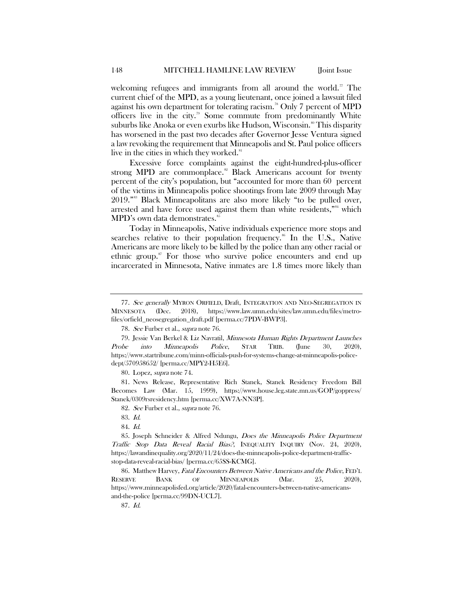welcoming refugees and immigrants from all around the world.<sup>[77](#page-11-0)</sup> The current chief of the MPD, as a young lieutenant, once joined a lawsuit filed against his own department for tolerating racism.<sup>[78](#page-11-1)</sup> Only 7 percent of MPD officers live in the city. [79](#page-11-2) Some commute from predominantly White suburbs like Anoka or even exurbs like Hudson, Wisconsin.<sup>[80](#page-11-3)</sup> This disparity has worsened in the past two decades after Governor Jesse Ventura signed a law revoking the requirement that Minneapolis and St. Paul police officers live in the cities in which they worked.<sup>[81](#page-11-4)</sup>

Excessive force complaints against the eight-hundred-plus-officer strong MPD are commonplace.<sup>[82](#page-11-5)</sup> Black Americans account for twenty percent of the city's population, but "accounted for more than 60 percent of the victims in Minneapolis police shootings from late 2009 through May 2019."[83](#page-11-6) Black Minneapolitans are also more likely "to be pulled over, arrested and have force used against them than white residents,"<sup>[84](#page-11-7)</sup> which MPD's own data demonstrates.<sup>[85](#page-11-8)</sup>

Today in Minneapolis, Native individuals experience more stops and searches relative to their population frequency.<sup>[86](#page-11-9)</sup> In the U.S., Native Americans are more likely to be killed by the police than any other racial or ethnic group.<sup>[87](#page-11-10)</sup> For those who survive police encounters and end up incarcerated in Minnesota, Native inmates are 1.8 times more likely than

80. Lopez, supra not[e 74.](#page-10-8)

<span id="page-11-5"></span><span id="page-11-4"></span><span id="page-11-3"></span>81. News Release, Representative Rich Stanek, Stanek Residency Freedom Bill Becomes Law (Mar. 15, 1999), https://www.house.leg.state.mn.us/GOP/goppress/ Stanek/0309rsresidency.htm [perma.cc/XW7A-NN3P].

<span id="page-11-0"></span><sup>77.</sup> See generally MYRON ORFIELD, Draft, INTEGRATION AND NEO-SEGREGATION IN MINNESOTA (Dec. 2018), https://www.law.umn.edu/sites/law.umn.edu/files/metrofiles/orfield\_neosegregation\_draft.pdf [perma.cc/7PDV-BWP3].

<sup>78.</sup> See Furber et al., supra not[e 76.](#page-10-7)

<span id="page-11-2"></span><span id="page-11-1"></span><sup>79.</sup> Jessie Van Berkel & Liz Navratil, Minnesota Human Rights Department Launches Probe into Minneapolis Police, STAR TRIB. (June 30, 2020), https://www.startribune.com/minn-officials-push-for-systems-change-at-minneapolis-policedept/570958652/ [perma.cc/MPY2-H5E6].

<sup>82.</sup> See Furber et al., supra not[e 76.](#page-10-7)

<sup>83.</sup> Id.

<sup>84.</sup> Id.

<span id="page-11-8"></span><span id="page-11-7"></span><span id="page-11-6"></span><sup>85.</sup> Joseph Schneider & Alfred Ndungu, Does the Minneapolis Police Department Traffic Stop Data Reveal Racial Bias?, INEQUALITY INQUIRY (Nov. 24, 2020), https://lawandinequality.org/2020/11/24/does-the-minneapolis-police-department-trafficstop-data-reveal-racial-bias/ [perma.cc/65SS-KCMG].

<span id="page-11-10"></span><span id="page-11-9"></span><sup>86.</sup> Matthew Harvey, Fatal Encounters Between Native Americans and the Police, FED'L RESERVE BANK OF MINNEAPOLIS (Mar. 25, 2020), https://www.minneapolisfed.org/article/2020/fatal-encounters-between-native-americansand-the-police [perma.cc/99DN-UCL7].

<sup>87.</sup> Id.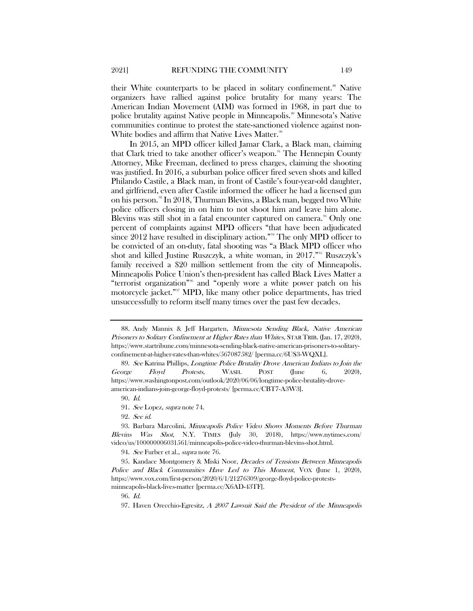their White counterparts to be placed in solitary confinement.<sup>[88](#page-12-0)</sup> Native organizers have rallied against police brutality for many years: The American Indian Movement (AIM) was formed in 1968, in part due to police brutality against Native people in Minneapolis.<sup>[89](#page-12-1)</sup> Minnesota's Native communities continue to protest the state-sanctioned violence against non-White bodies and affirm that Native Lives Matter.<sup>[90](#page-12-2)</sup>

In 2015, an MPD officer killed Jamar Clark, a Black man, claiming that Clark tried to take another officer's weapon.<sup>[91](#page-12-3)</sup> The Hennepin County Attorney, Mike Freeman, declined to press charges, claiming the shooting was justified. In 2016, a suburban police officer fired seven shots and killed Philando Castile, a Black man, in front of Castile's four-year-old daughter, and girlfriend, even after Castile informed the officer he had a licensed gun on his person.<sup>[92](#page-12-4)</sup> In 2018, Thurman Blevins, a Black man, begged two White police officers closing in on him to not shoot him and leave him alone. Blevins was still shot in a fatal encounter captured on camera.<sup>33</sup> Only one percent of complaints against MPD officers "that have been adjudicated since 2012 have resulted in disciplinary action."<sup>[94](#page-12-6)</sup> The only MPD officer to be convicted of an on-duty, fatal shooting was "a Black MPD officer who shot and killed Justine Ruszczyk, a white woman, in 2017."[95](#page-12-7) Ruszczyk's family received a \$20 million settlement from the city of Minneapolis. Minneapolis Police Union's then-president has called Black Lives Matter a "terrorist organization"[96](#page-12-8) and "openly wore a white power patch on his motorcycle jacke[t."](https://www.insider.com/president-minneapolis-police-union-wore-white-power-patch-lawsuit-2020-5) [97](#page-12-9) MPD, like many other police departments, has tried unsuccessfully to reform itself many times over the past few decades.

94. See Furber et al., *supra* not[e 76.](#page-10-7)

<span id="page-12-9"></span><span id="page-12-8"></span><span id="page-12-7"></span><span id="page-12-6"></span>95. Kandace Montgomery & Miski Noor, Decades of Tensions Between Minneapolis Police and Black Communities Have Led to This Moment, VOX (June 1, 2020), https://www.vox.com/first-person/2020/6/1/21276309/george-floyd-police-protestsminneapolis-black-lives-matter [perma.cc/X6AD-43TF].

96. Id.

<span id="page-12-11"></span><span id="page-12-10"></span><span id="page-12-0"></span><sup>88.</sup> Andy Mannix & Jeff Hargarten, Minnesota Sending Black, Native American Prisoners to Solitary Confinement at Higher Rates than Whites, STAR TRIB. (Jan. 17, 2020), https://www.startribune.com/minnesota-sending-black-native-american-prisoners-to-solitaryconfinement-at-higher-rates-than-whites/567087582/ [perma.cc/6US3-WQXL].

<span id="page-12-1"></span><sup>89.</sup> See Katrina Phillips, Longtime Police Brutality Drove American Indians to Join the George Floyd Protests, WASH. POST (June 6, 2020), https://www.washingtonpost.com/outlook/2020/06/06/longtime-police-brutality-droveamerican-indians-join-george-floyd-protests/ [perma.cc/CBT7-A3W3].

<sup>90.</sup> Id.

<sup>91.</sup> See Lopez, supra not[e 74.](#page-10-8)

<sup>92.</sup> See id.

<span id="page-12-5"></span><span id="page-12-4"></span><span id="page-12-3"></span><span id="page-12-2"></span><sup>93.</sup> Barbara Marcolini, Minneapolis Police Video Shows Moments Before Thurman Blevins Was Shot, N.Y. TIMES (July 30, 2018), https://www.nytimes.com/ video/us/100000006031561/minneapolis-police-video-thurman-blevins-shot.html.

<sup>97.</sup> Haven Orecchio-Egresitz, A 2007 Lawsuit Said the President of the Minneapolis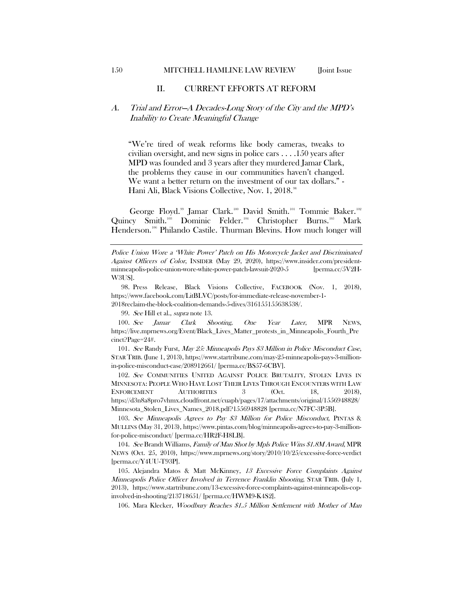### II. CURRENT EFFORTS AT REFORM

# A. Trial and Error—A Decades-Long Story of the City and the MPD's Inability to Create Meaningful Change

"We're tired of weak reforms like body cameras, tweaks to civilian oversight, and new signs in police cars . . . .150 years after MPD was founded and 3 years after they murdered Jamar Clark, the problems they cause in our communities haven't changed. We want a better return on the investment of our tax dollars." - Hani Ali, Black Visions Collective, Nov. 1, 2018. [98](#page-13-0)

George Floyd.<sup>[99](#page-13-1)</sup> Jamar Clark.<sup>[100](#page-13-2)</sup> David Smith.<sup>[101](#page-13-3)</sup> Tommie Baker.<sup>[102](#page-13-4)</sup> Quincy Smith.<sup>[103](#page-13-5)</sup> Dominic Felder.<sup>[104](#page-13-6)</sup> Christopher Burns.<sup>[105](#page-13-7)</sup> Mark Henderson. [106](#page-13-8) Philando Castile. Thurman Blevins. How much longer will

99. See Hill et al., supra note [13.](#page-3-5)

<span id="page-13-2"></span><span id="page-13-1"></span>100. See Jamar Clark Shooting, One Year Later, MPR NEWS, https://live.mprnews.org/Event/Black\_Lives\_Matter\_protests\_in\_Minneapolis\_Fourth\_Pre cinct?Page=24#.

<span id="page-13-3"></span>101. See Randy Furst, May 25: Minneapolis Pays \$3 Million in Police Misconduct Case, STAR TRIB. (June 1, 2013), https://www.startribune.com/may-25-minneapolis-pays-3-millionin-police-misconduct-case/208912661/ [perma.cc/BS57-6CBV].

<span id="page-13-4"></span>102. See COMMUNITIES UNITED AGAINST POLICE BRUTALITY, STOLEN LIVES IN MINNESOTA: PEOPLE WHO HAVE LOST THEIR LIVES THROUGH ENCOUNTERS WITH LAW ENFORCEMENT AUTHORITIES 3 (Oct. 18, 2018), https://d3n8a8pro7vhmx.cloudfront.net/cuapb/pages/17/attachments/original/1556948828/ Minnesota\_Stolen\_Lives\_Names\_2018.pdf?1556948828 [perma.cc/N7FC-3P5B].

<span id="page-13-5"></span>103. See Minneapolis Agrees to Pay \$3 Million for Police Misconduct, PINTAS & MULLINS (May 31, 2013), https://www.pintas.com/blog/minneapolis-agrees-to-pay-3-millionfor-police-misconduct/ [perma.cc/HR2F-H8LB].

<span id="page-13-6"></span>104. See Brandt Williams, Family of Man Shot by Mpls Police Wins \$1.8M Award, MPR NEWS (Oct. 25, 2010), https://www.mprnews.org/story/2010/10/25/excessive-force-verdict [perma.cc/Y4UU-T93P].

<span id="page-13-8"></span><span id="page-13-7"></span>105. Alejandra Matos & Matt McKinney, 13 Excessive Force Complaints Against Minneapolis Police Officer Involved in Terrence Franklin Shooting, STAR TRIB. (July 1, 2013), https://www.startribune.com/13-excessive-force-complaints-against-minneapolis-copinvolved-in-shooting/213718651/ [perma.cc/HWM9-K4S2].

106. Mara Klecker, Woodbury Reaches \$1.5 Million Settlement with Mother of Man

Police Union Wore a 'White Power' Patch on His Motorcycle Jacket and Discriminated Against Officers of Color, INSIDER (May 29, 2020), https://www.insider.com/presidentminneapolis-police-union-wore-white-power-patch-lawsuit-2020-5 [perma.cc/5V2H-W3US].

<span id="page-13-0"></span><sup>98.</sup> Press Release, Black Visions Collective, FACEBOOK (Nov. 1, 2018), https://www.facebook.com/LitBLVC/posts/for-immediate-release-november-1- 2018reclaim-the-block-coalition-demands-5-dives/316155155638538/.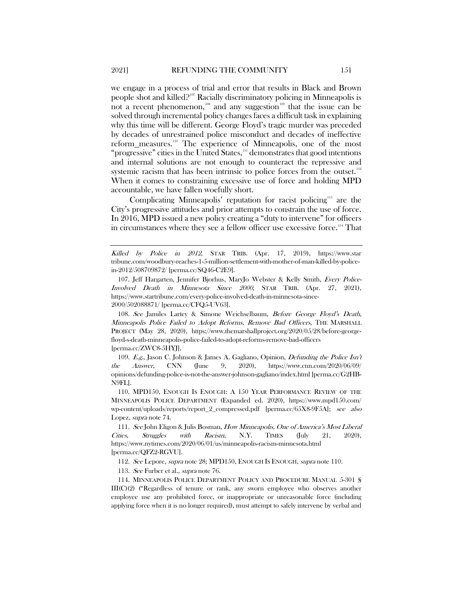<span id="page-14-10"></span><span id="page-14-9"></span><span id="page-14-0"></span>we engage in a process of trial and error that results in Black and Brown people shot and killed?<sup>[107](#page-14-1)</sup> Racially discriminatory policing in Minneapolis is not a recent phenomenon,  $\frac{108}{100}$  $\frac{108}{100}$  $\frac{108}{100}$  and any suggestion  $\frac{109}{100}$  $\frac{109}{100}$  $\frac{109}{100}$  that the issue can be solved through incremental policy changes faces a difficult task in explaining why this time will be different. George Floyd's tragic murder was preceded by decades of unrestrained police misconduct and decades of ineffective reform\_measures.<sup>[110](#page-14-4)</sup> The experience of Minneapolis, one of the most "progressive" cities in the United States, [111](#page-14-5) demonstrates that good intentions and internal solutions are not enough to counteract the repressive and systemic racism that has been intrinsic to police forces from the outset. $112$ When it comes to constraining excessive use of force and holding MPD accountable, we have fallen woefully short.

Complicating Minneapolis' reputation for racist policing<sup>[113](#page-14-7)</sup> are the City's progressive attitudes and prior attempts to constrain the use of force. In 2016, MPD issued a new policy creating a "duty to intervene" for officers in circumstances where they see a fellow officer use excessive force.<sup>[114](#page-14-8)</sup> That

<span id="page-14-2"></span>108. See Jamiles Lartey & Simone Weichselbaum, Before George Floyd's Death, Minneapolis Police Failed to Adopt Reforms, Remove Bad Officers, THE MARSHALL PROJECT (May 28, 2020), https://www.themarshallproject.org/2020/05/28/before-georgefloyd-s-death-minneapolis-police-failed-to-adopt-reforms-remove-bad-officers [perma.cc/ZWC8-5HYJ].

<span id="page-14-3"></span>109. E.g., Jason C. Johnson & James A. Gagliano, Opinion, Defunding the Police Isn't the Answer, CNN (June 9, 2020), https://www.cnn.com/2020/06/09/ opinions/defunding-police-is-not-the-answer-johnson-gagliano/index.html [perma.cc/G2HB-N9FL].

<span id="page-14-4"></span>110. MPD150, ENOUGH IS ENOUGH: A 150 YEAR PERFORMANCE REVIEW OF THE MINNEAPOLIS POLICE DEPARTMENT (Expanded ed. 2020), https://www.mpd150.com/ wp-content/uploads/reports/report\_2\_compressed.pdf [perma.cc/65X8-9F5A]; see also Lopez, supra not[e 74.](#page-10-8)

<span id="page-14-5"></span>111. See John Eligon & Julis Bosman, How Minneapolis, One of America's Most Liberal Cities, Struggles with Racism, N.Y. TIMES (July 21, 2020), https://www.nytimes.com/2020/06/01/us/minneapolis-racism-minnesota.html [perma.cc/QFZ2-RGVU].

112. See Lepore, supra not[e 28;](#page-5-11) MPD150, ENOUGH IS ENOUGH, supra not[e 110.](#page-14-0)

113. See Furber et al., supra not[e 76.](#page-10-7)

<span id="page-14-8"></span><span id="page-14-7"></span><span id="page-14-6"></span>114. MINNEAPOLIS POLICE DEPARTMENT POLICY AND PROCEDURE MANUAL 5-301 § III(C)(2) ("Regardless of tenure or rank, any sworn employee who observes another employee use any prohibited force, or inappropriate or unreasonable force (including applying force when it is no longer required), must attempt to safely intervene by verbal and

Killed by Police in 2012, STAR TRIB. (Apr. 17, 2019), https://www.star tribune.com/woodbury-reaches-1-5-million-settlement-with-mother-of-man-killed-by-policein-2012/508709872/ [perma.cc/SQ46-C2E9].

<span id="page-14-1"></span><sup>107.</sup> Jeff Hargarten, Jennifer Bjorhus, MaryJo Webster & Kelly Smith, Every Police-Involved Death in Minnesota Since 2000, STAR TRIB. (Apr. 27, 2021), https://www.startribune.com/every-police-involved-death-in-minnesota-since-2000/502088871/ [perma.cc/CFQ5-UV63].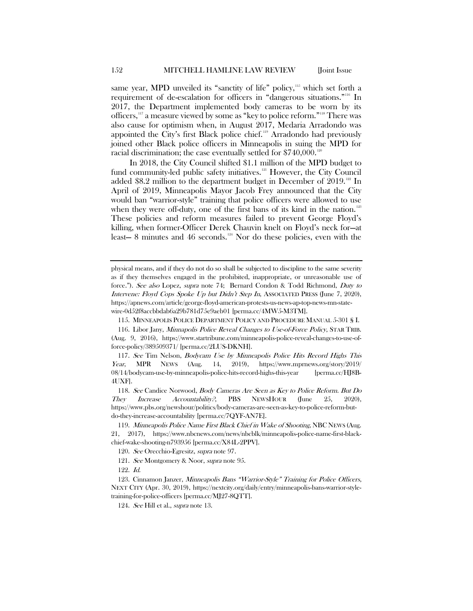same year, MPD unveiled its "sanctity of life" policy,<sup>[115](#page-15-0)</sup> which set forth a requirement of de-escalation for officers in "dangerous situations."<sup>[116](#page-15-1)</sup> In 2017, the Department implemented body cameras to be worn by its officers,[117](#page-15-2) a measure viewed by some as "key to police reform."[118](#page-15-3) There was also cause for optimism when, in August 2017, Medaria Arradondo was appointed the City's first Black police chief.<sup>[119](#page-15-4)</sup> Arradondo had previously joined other Black police officers in Minneapolis in suing the MPD for racial discrimination; the case eventually settled for  $$740,000$ .<sup>120</sup>

In 2018, the City Council shifted \$1.1 million of the MPD budget to fund community-led public safety initiatives.<sup>[121](#page-15-6)</sup> However, the City Council added \$8.2 million to the department budget in December of 2019.<sup>[122](#page-15-7)</sup> In April of 2019, Minneapolis Mayor Jacob Frey announced that the City would ban "warrior-style" training that police officers were allowed to use when they were off-duty, one of the first bans of its kind in the nation.<sup>[123](#page-15-8)</sup> These policies and reform measures failed to prevent George Floyd's killing, when former-Officer Derek Chauvin knelt on Floyd's neck for—at least— 8 minutes and 46 seconds. [124](#page-15-9) Nor do these policies, even with the

115. MINNEAPOLIS POLICE DEPARTMENT POLICY AND PROCEDURE MANUAL 5-301 § I.

physical means, and if they do not do so shall be subjected to discipline to the same severity as if they themselves engaged in the prohibited, inappropriate, or unreasonable use of force."). See also Lopez, supra note [74;](#page-10-8) Bernard Condon & Todd Richmond, Duty to Intervene: Floyd Cops Spoke Up but Didn't Step In, ASSOCIATED PRESS (June 7, 2020), https://apnews.com/article/george-floyd-american-protests-us-news-ap-top-news-mn-statewire-0d52f8accbbdab6a29b781d75e9aeb01 [perma.cc/4MW5-M3TM].

<span id="page-15-1"></span><span id="page-15-0"></span><sup>116.</sup> Libor Jany, Minnapolis Police Reveal Changes to Use-of-Force Policy, STAR TRIB. (Aug. 9, 2016), https://www.startribune.com/minneapolis-police-reveal-changes-to-use-offorce-policy/389509371/ [perma.cc/2LUS-DKNH].

<span id="page-15-2"></span><sup>117.</sup> See Tim Nelson, Bodycam Use by Minneapolis Police Hits Record Highs This Year, MPR NEWS (Aug. 14, 2019), https://www.mprnews.org/story/2019/ 08/14/bodycam-use-by-minneapolis-police-hits-record-highs-this-year [perma.cc/HJ8B-4UXF].

<span id="page-15-3"></span><sup>118.</sup> See Candice Norwood, Body Cameras Are Seen as Key to Police Reform. But Do They Increase Accountability?, PBS NEWSHOUR (June 25, 2020), https://www.pbs.org/newshour/politics/body-cameras-are-seen-as-key-to-police-reform-butdo-they-increase-accountability [perma.cc/7QYF-AN7E].

<span id="page-15-5"></span><span id="page-15-4"></span><sup>119.</sup> Minneapolis Police Name First Black Chief in Wake of Shooting, NBC NEWS (Aug. 21, 2017), https://www.nbcnews.com/news/nbcblk/minneapolis-police-name-first-blackchief-wake-shooting-n793956 [perma.cc/X84L-2PPV].

<sup>120.</sup> See Orecchio-Egresitz, supra not[e 97.](#page-12-10)

<sup>121.</sup> See Montgomery & Noor, supra note [95.](#page-12-11)

<sup>122.</sup> Id.

<span id="page-15-9"></span><span id="page-15-8"></span><span id="page-15-7"></span><span id="page-15-6"></span><sup>123.</sup> Cinnamon Janzer, Minneapolis Bans "Warrior-Style" Training for Police Officers, NEXT CITY (Apr. 30, 2019), https://nextcity.org/daily/entry/minneapolis-bans-warrior-styletraining-for-police-officers [perma.cc/MJ27-8QTT].

<sup>124.</sup> See Hill et al., supra note [13.](#page-3-5)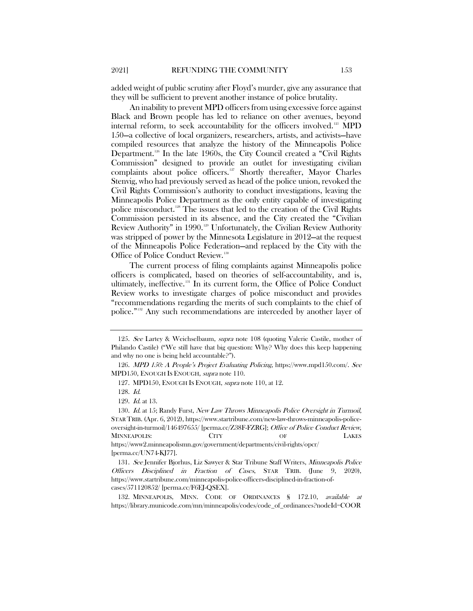added weight of public scrutiny after Floyd's murder, give any assurance that they will be sufficient to prevent another instance of police brutality.

An inability to prevent MPD officers from using excessive force against Black and Brown people has led to reliance on other avenues, beyond internal reform, to seek accountability for the officers involved.[125](#page-16-0) MPD 150—a collective of local organizers, researchers, artists, and activists—have compiled resources that analyze the history of the Minneapolis Police Department.<sup>[126](#page-16-1)</sup> In the late 1960s, the City Council created a "Civil Rights" Commission" designed to provide an outlet for investigating civilian complaints about police officers. [127](#page-16-2) Shortly thereafter, Mayor Charles Stenvig, who had previously served as head of the police union, revoked the Civil Rights Commission's authority to conduct investigations, leaving the Minneapolis Police Department as the only entity capable of investigating police misconduct.[128](#page-16-3) The issues that led to the creation of the Civil Rights Commission persisted in its absence, and the City created the "Civilian Review Authority" in 1990. [129](#page-16-4) Unfortunately, the Civilian Review Authority was stripped of power by the Minnesota Legislature in 2012—at the request of the Minneapolis Police Federation—and replaced by the City with the Office of Police Conduct Review.<sup>[130](#page-16-5)</sup>

<span id="page-16-8"></span>The current process of filing complaints against Minneapolis police officers is complicated, based on theories of self-accountability, and is, ultimately, ineffective.<sup>[131](#page-16-6)</sup> In its current form, the Office of Police Conduct Review works to investigate charges of police misconduct and provides "recommendations regarding the merits of such complaints to the chief of police."[132](#page-16-7) Any such recommendations are interceded by another layer of

<span id="page-16-0"></span><sup>125.</sup> See Lartey & Weichselbaum, supra note [108](#page-14-9) (quoting Valerie Castile, mother of Philando Castile) ("We still have that big question: Why? Why does this keep happening and why no one is being held accountable?").

<span id="page-16-2"></span><span id="page-16-1"></span><sup>126.</sup> MPD 150: A People's Project Evaluating Policing, https://www.mpd150.com/. See MPD150, ENOUGH IS ENOUGH, supra note [110.](#page-14-0)

<sup>127.</sup> MPD150, ENOUGH IS ENOUGH, supra note [110,](#page-14-0) at 12.

<sup>128.</sup> Id.

<sup>129.</sup> Id. at 13.

<span id="page-16-5"></span><span id="page-16-4"></span><span id="page-16-3"></span><sup>130.</sup> Id. at 15; Randy Furst, New Law Throws Minneapolis Police Oversight in Turmoil, STAR TRIB. (Apr. 6, 2012), https://www.startribune.com/new-law-throws-minneapolis-policeoversight-in-turmoil/146497655/ [perma.cc/Z38F-FZRG]; Office of Police Conduct Review, MINNEAPOLIS: CITY OF LAKES https://www2.minneapolismn.gov/government/departments/civil-rights/opcr/ [perma.cc/UN74-KJ77].

<span id="page-16-6"></span><sup>131.</sup> See Jennifer Bjorhus, Liz Sawyer & Star Tribune Staff Writers, Minneapolis Police Officers Disciplined in Fraction of Cases, STAR TRIB. (June 9, 2020), https://www.startribune.com/minneapolis-police-officers-disciplined-in-fraction-ofcases/571120852/ [perma.cc/F6EJ-QSEX].

<span id="page-16-7"></span><sup>132.</sup> MINNEAPOLIS, MINN. CODE OF ORDINANCES § 172.10, available at https://library.municode.com/mn/minneapolis/codes/code\_of\_ordinances?nodeId=COOR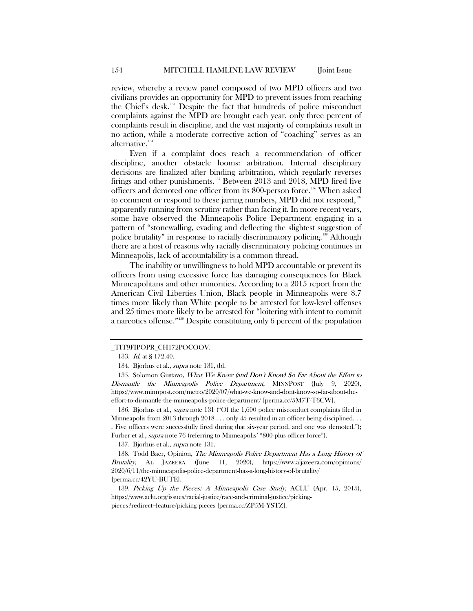review, whereby a review panel composed of two MPD officers and two civilians provides an opportunity for MPD to prevent issues from reaching the Chief's desk.[133](#page-17-0) Despite the fact that hundreds of police misconduct complaints against the MPD are brought each year, only three percent of complaints result in discipline, and the vast majority of complaints result in no action, while a moderate corrective action of "coaching" serves as an alternative.<sup>[134](#page-17-1)</sup>

Even if a complaint does reach a recommendation of officer discipline, another obstacle looms: arbitration. Internal disciplinary decisions are finalized after binding arbitration, which regularly reverses firings and other punishments.[135](#page-17-2) Between 2013 and 2018, MPD fired five officers and demoted one officer from its 800-person force.<sup>[136](#page-17-3)</sup> When asked to comment or respond to these jarring numbers, MPD did not respond,<sup>[137](#page-17-4)</sup> apparently running from scrutiny rather than facing it. In more recent years, some have observed the Minneapolis Police Department engaging in a pattern of "stonewalling, evading and deflecting the slightest suggestion of police brutality" in response to racially discriminatory policing.[138](#page-17-5) Although there are a host of reasons why racially discriminatory policing continues in Minneapolis, lack of accountability is a common thread.

The inability or unwillingness to hold MPD accountable or prevent its officers from using excessive force has damaging consequences for Black Minneapolitans and other minorities. According to a 2015 report from the American Civil Liberties Union, Black people in Minneapolis were 8.7 times more likely than White people to be arrested for low-level offenses and 25 times more likely to be arrested for "loitering with intent to commit a narcotics offense."[139](#page-17-6) Despite constituting only 6 percent of the population

<span id="page-17-3"></span>136. Bjorhus et al., *supra* note [131](#page-16-8) ("Of the 1,600 police misconduct complaints filed in Minneapolis from 2013 through  $2018...$  only 45 resulted in an officer being disciplined... . Five officers were successfully fired during that six-year period, and one was demoted."); Furber et al., supra not[e 76](#page-10-7) (referring to Minneapolis' "800-plus officer force").

137. Bjorhus et al., supra not[e 131.](#page-16-8)

<span id="page-17-5"></span><span id="page-17-4"></span>138. Todd Baer, Opinion, The Minneapolis Police Department Has a Long History of Brutality, AL JAZEERA (June 11, 2020), https://www.aljazeera.com/opinions/ 2020/6/11/the-minneapolis-police-department-has-a-long-history-of-brutality/ [perma.cc/42YU-BUTE].

<span id="page-17-6"></span>139. Picking Up the Pieces: A Minneapolis Case Study, ACLU (Apr. 15, 2015), https://www.aclu.org/issues/racial-justice/race-and-criminal-justice/pickingpieces?redirect=feature/picking-pieces [perma.cc/ZP5M-YSTZ].

<span id="page-17-0"></span>\_TIT9FIPOPR\_CH172POCOOV.

<sup>133.</sup> *Id.* at § 172.40.

<sup>134.</sup> Bjorhus et al., *supra* not[e 131,](#page-16-8) tbl.

<span id="page-17-2"></span><span id="page-17-1"></span><sup>135.</sup> Solomon Gustavo, *What We Know (and Don't Know) So Far About the Effort to* Dismantle the Minneapolis Police Department, MINNPOST (July 9, 2020), https://www.minnpost.com/metro/2020/07/what-we-know-and-dont-know-so-far-about-theeffort-to-dismantle-the-minneapolis-police-department/ [perma.cc/5M7T-T6CW].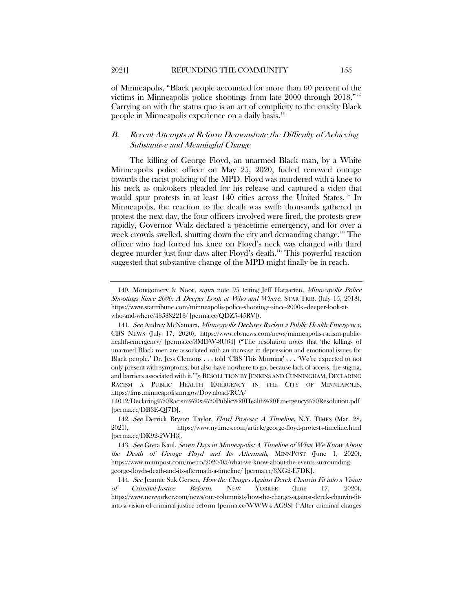2021] REFUNDING THE COMMUNITY 155

of Minneapolis, "Black people accounted for more than 60 percent of the victims in Minneapolis police shootings from late 2000 through  $2018.^{140}$  $2018.^{140}$  $2018.^{140}$ Carrying on with the status quo is an act of complicity to the cruelty Black people in Minneapolis experience on a daily basis.<sup>[141](#page-18-1)</sup>

# B. Recent Attempts at Reform Demonstrate the Difficulty of Achieving Substantive and Meaningful Change

The killing of George Floyd, an unarmed Black man, by a White Minneapolis police officer on May 25, 2020, fueled renewed outrage towards the racist policing of the MPD. Floyd was murdered with a knee to his neck as onlookers pleaded for his release and captured a video that would spur protests in at least 140 cities across the United States.<sup>[142](#page-18-2)</sup> In Minneapolis, the reaction to the death was swift: thousands gathered in protest the next day, the four officers involved were fired, the protests grew rapidly, Governor Walz declared a peacetime emergency, and for over a week crowds swelled, shutting down the city and demanding change.<sup>[143](#page-18-3)</sup> The officer who had forced his knee on Floyd's neck was charged with third degree murder just four days after Floyd's death.<sup>[144](#page-18-4)</sup> This powerful reaction suggested that substantive change of the MPD might finally be in reach.

<span id="page-18-0"></span><sup>140.</sup> Montgomery & Noor, supra note [95](#page-12-11) (citing Jeff Hargarten, Minneapolis Police Shootings Since 2000: A Deeper Look at Who and Where, STAR TRIB. (July 15, 2018), https://www.startribune.com/minneapolis-police-shootings-since-2000-a-deeper-look-atwho-and-where/435882213/ [perma.cc/QDZ5-45RV]).

<span id="page-18-1"></span><sup>141.</sup> See Audrey McNamara, Minneapolis Declares Racism a Public Health Emergency, CBS NEWS (July 17, 2020), https://www.cbsnews.com/news/minneapolis-racism-publichealth-emergency/ [perma.cc/3MDW-8U64] ("The resolution notes that 'the killings of unarmed Black men are associated with an increase in depression and emotional issues for Black people.' Dr. Jess Clemons . . . told 'CBS This Morning' . . . 'We're expected to not only present with symptoms, but also have nowhere to go, because lack of access, the stigma, and barriers associated with it.'"); RESOLUTION BY JENKINS AND CUNNINGHAM, DECLARING RACISM A PUBLIC HEALTH EMERGENCY IN THE CITY OF MINNEAPOLIS, https://lims.minneapolismn.gov/Download/RCA/

<sup>14012/</sup>Declaring%20Racism%20a%20Public%20Health%20Emergency%20Resolution.pdf [perma.cc/DB3E-QJ7D].

<span id="page-18-2"></span><sup>142.</sup> See Derrick Bryson Taylor, Floyd Protests: A Timeline, N.Y. TIMES (Mar. 28, 2021), https://www.nytimes.com/article/george-floyd-protests-timeline.html [perma.cc/DK92-2WH3].

<span id="page-18-3"></span><sup>143.</sup> See Greta Kaul, Seven Days in Minneapolis: A Timeline of What We Know About the Death of George Floyd and Its Aftermath, MINNPOST (June 1, 2020), https://www.minnpost.com/metro/2020/05/what-we-know-about-the-events-surroundinggeorge-floyds-death-and-its-aftermath-a-timeline/ [perma.cc/3XG2-E7DK].

<span id="page-18-4"></span><sup>144.</sup> See Jeannie Suk Gersen, How the Charges Against Derek Chauvin Fit into a Vision of Criminal-Justice Reform, NEW YORKER (June 17, 2020), https://www.newyorker.com/news/our-columnists/how-the-charges-against-derek-chauvin-fitinto-a-vision-of-criminal-justice-reform [perma.cc/WWW4-AG9S] ("After criminal charges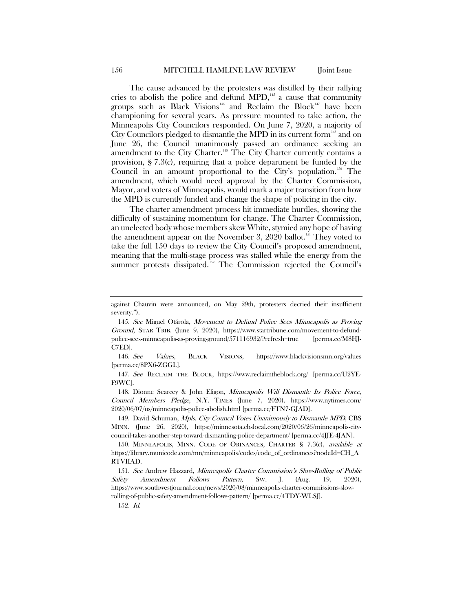The cause advanced by the protesters was distilled by their rallying cries to abolish the police and defund  $MPD$ ,<sup>155</sup> a cause that community groups such as Black Visions<sup>[146](#page-19-1)</sup> and Reclaim the Block<sup>[147](#page-19-2)</sup> have been championing for several years. As pressure mounted to take action, the Minneapolis City Councilors responded. On June 7, 2020, a majority of City Councilors pledged to dismantle the MPD in its current form  $\frac{148}{148}$  $\frac{148}{148}$  $\frac{148}{148}$  and on June 26, the Council unanimously passed an ordinance seeking an amendment to the City Charter.<sup>[149](#page-19-4)</sup> The City Charter currently contains a provision, § 7.3(c), requiring that a police department be funded by the Council in an amount proportional to the City's population.<sup>[150](#page-19-5)</sup> The amendment, which would need approval by the Charter Commission, Mayor, and voters of Minneapolis, would mark a major transition from how the MPD is currently funded and change the shape of policing in the city.

The charter amendment process hit immediate hurdles, showing the difficulty of sustaining momentum for change. The Charter Commission, an unelected body whose members skew White, stymied any hope of having the amendment appear on the November 3, 2020 ballot.<sup>[151](#page-19-6)</sup> They voted to take the full 150 days to review the City Council's proposed amendment, meaning that the multi-stage process was stalled while the energy from the summer protests dissipated. [152](#page-19-7) The Commission rejected the Council's

<span id="page-19-1"></span>146. See Values, BLACK VISIONS, https://www.blackvisionsmn.org/values [perma.cc/8PX6-ZGGL].

<span id="page-19-2"></span>147. See RECLAIM THE BLOCK, https://www.reclaimtheblock.org/ [perma.cc/U2YE-F9WC].

<span id="page-19-3"></span>148. Dionne Searcey & John Eligon, Minneapolis Will Dismantle Its Police Force, Council Members Pledge, N.Y. TIMES (June 7, 2020), https://www.nytimes.com/ 2020/06/07/us/minneapolis-police-abolish.html [perma.cc/FTN7-GJAD].

<span id="page-19-4"></span>149. David Schuman, Mpls. City Council Votes Unanimously to Dismantle MPD, CBS MINN. (June 26, 2020), https://minnesota.cbslocal.com/2020/06/26/minneapolis-citycouncil-takes-another-step-toward-dismantling-police-department/ [perma.cc/4JJE-4JAN].

<span id="page-19-5"></span>150. MINNEAPOLIS, MINN. CODE OF ORINANCES, CHARTER § 7.3(c), available at https://library.municode.com/mn/minneapolis/codes/code\_of\_ordinances?nodeId=CH\_A RTVIIAD.

<span id="page-19-7"></span><span id="page-19-6"></span>151. See Andrew Hazzard, Minneapolis Charter Commission's Slow-Rolling of Public Safety Amendment Follows Pattern, SW. J. (Aug. 19, 2020), https://www.southwestjournal.com/news/2020/08/minneapolis-charter-commissions-slowrolling-of-public-safety-amendment-follows-pattern/ [perma.cc/4TDY-WLSJ].

152. Id.

against Chauvin were announced, on May 29th, protesters decried their insufficient severity.").

<span id="page-19-0"></span><sup>145.</sup> See Miguel Otárola, Movement to Defund Police Sees Minneapolis as Proving Ground, STAR TRIB. (June 9, 2020), https://www.startribune.com/movement-to-defundpolice-sees-minneapolis-as-proving-ground/571116932/?refresh=true [perma.cc/M8HJ-C7ED].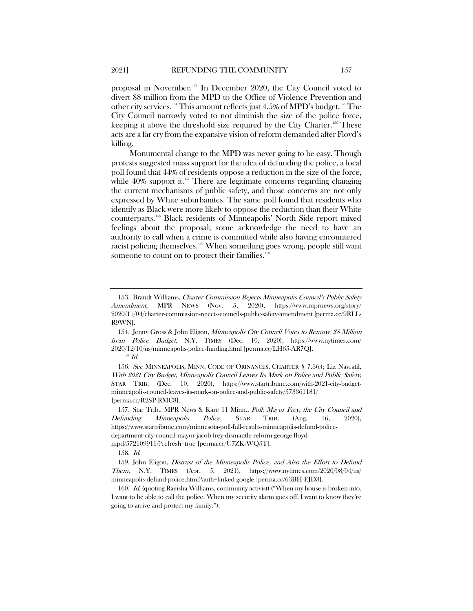proposal in November.[153](#page-20-0) In December 2020, the City Council voted to divert \$8 million from the MPD to the Office of Violence Prevention and other city services.<sup>[154](#page-20-1)</sup> This amount reflects just 4.5% of MPD's budget.<sup>[155](#page-20-2)</sup> The City Council narrowly voted to not diminish the size of the police force, keeping it above the threshold size required by the City Charter.<sup>[156](#page-20-3)</sup> These acts are a far cry from the expansive vision of reform demanded after Floyd's killing.

Monumental change to the MPD was never going to be easy. Though protests suggested mass support for the idea of defunding the police, a local poll found that 44% of residents oppose a reduction in the size of the force, while  $40\%$  support it.<sup>[157](#page-20-4)</sup> There are legitimate concerns regarding changing the current mechanisms of public safety, and those concerns are not only expressed by White suburbanites. The [same poll](https://www.startribune.com/minnesota-poll-full-results-minneapolis-defund-police-department-city-council-mayor-jacob-frey-dismantle-reform-george-floyd-mpd/572109911/?refresh=true) found that residents who identify as Black were more likely to oppose the reduction than their White counterparts.[158](#page-20-5) Black residents of Minneapolis' North Side report mixed feelings about the proposal; some acknowledge the need to have an authority to call when a crime is committed while also having encountered racist policing themselves.[159](#page-20-6) When something goes wrong, people still want someone to count on to protect their families. $160$ 

 $^{\scriptscriptstyle 155}$   $Id.$ 

<span id="page-20-3"></span><span id="page-20-2"></span>156. See MINNEAPOLIS, MINN. CODE OF ORINANCES, CHARTER § 7.3(c); Liz Navratil, With 2021 City Budget, Minneapolis Council Leaves Its Mark on Police and Public Safety, STAR TRIB. (Dec. 10, 2020), https://www.startribune.com/with-2021-city-budgetminneapolis-council-leaves-its-mark-on-police-and-public-safety/573361181/ [perma.cc/R2SP-RMC8].

<span id="page-20-4"></span>157. Star Trib., MPR News & Kare 11 Minn., Poll: Mayor Frey, the City Council and Defunding Minneapolis Police, STAR TRIB. (Aug. 16, 2020), https://www.startribune.com/minnesota-poll-full-results-minneapolis-defund-policedepartment-city-council-mayor-jacob-frey-dismantle-reform-george-floydmpd/572109911/?refresh=true [perma.cc/U7ZK-WQ5T].

158. Id.

<span id="page-20-6"></span><span id="page-20-5"></span>159. John Eligon, Distrust of the Minneapolis Police, and Also the Effort to Defund Them, N.Y. TIMES (Apr. 5, 2021), https://www.nytimes.com/2020/08/04/us/ minneapolis-defund-police.html?auth=linked-google [perma.cc/63BH-EJD3].

<span id="page-20-7"></span>160. Id. (quoting Raeisha Williams, community activist) ("When my house is broken into, I want to be able to call the police. When my security alarm goes off, I want to know they're going to arrive and protect my family.").

<span id="page-20-0"></span><sup>153.</sup> Brandt Williams, Charter Commission Rejects Minneapolis Council's Public Safety Amendment, MPR NEWS (Nov. 5, 2020), https://www.mprnews.org/story/ 2020/11/04/charter-commission-rejects-councils-public-safety-amendment [perma.cc/9RLL-R9WN].

<span id="page-20-1"></span><sup>154.</sup> Jenny Gross & John Eligon, Minneapolis City Council Votes to Remove \$8 Million from Police Budget, N.Y. TIMES (Dec. 10, 2020), https://www.nytimes.com/ 2020/12/10/us/minneapolis-police-funding.html [perma.cc/LH65-AR7Q].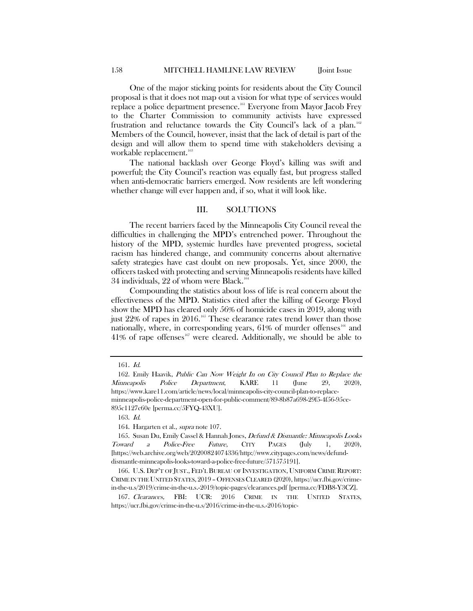One of the major sticking points for residents about the City Council proposal is that it does not map out a vision for what type of services would replace a police department presence.<sup>[161](#page-21-0)</sup> Everyone from Mayor Jacob Frey to the Charter Commission to community activists have expressed frustration and reluctance towards the City Council's lack of a plan. [162](#page-21-1) Members of the Council, however, insist that the lack of detail is part of the design and will allow them to spend time with stakeholders devising a workable replacement.<sup>[163](#page-21-2)</sup>

The national backlash over George Floyd's killing was swift and powerful; the City Council's reaction was equally fast, but progress stalled when anti-democratic barriers emerged. Now residents are left wondering whether change will ever happen and, if so, what it will look like.

#### III. SOLUTIONS

The recent barriers faced by the Minneapolis City Council reveal the difficulties in challenging the MPD's entrenched power. Throughout the history of the MPD, systemic hurdles have prevented progress, societal racism has hindered change, and community concerns about alternative safety strategies have cast doubt on new proposals. Yet, since 2000, the officers tasked with protecting and serving Minneapolis residents have killed 34 individuals, 22 of whom were Black.<sup>16</sup>

Compounding the statistics about loss of life is real concern about the effectiveness of the MPD. Statistics cited after the killing of George Floyd show the MPD has cleared only 56% of homicide cases in 2019, along with just  $22\%$  of rapes in  $2016$ .<sup>[165](#page-21-4)</sup> These clearance rates trend lower than those nationally, where, in corresponding years,  $61\%$  of murder offenses<sup>[166](#page-21-5)</sup> and  $41\%$  of rape offenses<sup>[167](#page-21-6)</sup> were cleared. Additionally, we should be able to

163. Id.

164. Hargarten et al., supra not[e 107.](#page-14-10)

<sup>161.</sup> Id.

<span id="page-21-1"></span><span id="page-21-0"></span><sup>162.</sup> Emily Haavik, Public Can Now Weight In on City Council Plan to Replace the Minneapolis Police Department, KARE 11 (June 29, 2020), https://www.kare11.com/article/news/local/minneapolis-city-council-plan-to-replaceminneapolis-police-department-open-for-public-comment/89-8b87a698-29f5-4f56-95ce-895c1127c60e [perma.cc/5FYQ-43XU].

<span id="page-21-4"></span><span id="page-21-3"></span><span id="page-21-2"></span><sup>165.</sup> Susan Du, Emily Cassel & Hannah Jones, *Defund & Dismantle: Minneapolis Looks* Toward a Police-Free Future, CITY PAGES (July 1, 2020), [https://web.archive.org/web/20200824074336/http://www.citypages.com/news/defunddismantle-minneapolis-looks-toward-a-police-free-future/571575191].

<span id="page-21-5"></span><sup>166.</sup> U.S. DEP'T OF JUST., FED'L BUREAU OF INVESTIGATION, UNIFORM CRIME REPORT: CRIME IN THE UNITED STATES, 2019 – OFFENSES CLEARED (2020), https://ucr.fbi.gov/crimein-the-u.s/2019/crime-in-the-u.s.-2019/topic-pages/clearances.pdf [perma.cc/FDB8-Y3CZ].

<span id="page-21-6"></span><sup>167.</sup> Clearances, FBI: UCR: 2016 CRIME IN THE UNITED STATES, https://ucr.fbi.gov/crime-in-the-u.s/2016/crime-in-the-u.s.-2016/topic-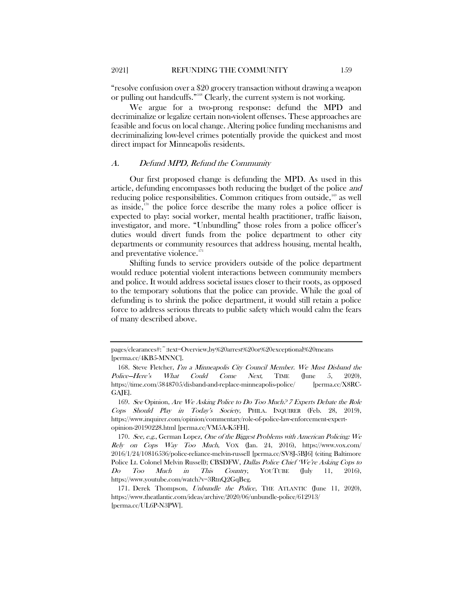"resolve confusion over a \$20 grocery transaction without drawing a weapon or pulling out handcuffs."<sup>[168](#page-22-0)</sup> Clearly, the current system is not working.

We argue for a two-prong response: defund the MPD and decriminalize or legalize certain non-violent offenses. These approaches are feasible and focus on local change. Altering police funding mechanisms and decriminalizing low-level crimes potentially provide the quickest and most direct impact for Minneapolis residents.

#### A. Defund MPD, Refund the Community

Our first proposed change is defunding the MPD. As used in this article, defunding encompasses both reducing the budget of the police and reducing police responsibilities. Common critiques from outside, $169$  as well as inside, $170$  the police force describe the many roles a police officer is expected to play: social worker, mental health practitioner, traffic liaison, investigator, and more. "Unbundling" those roles from a police officer's duties would divert funds from the police department to other city departments or community resources that address housing, mental health, and preventative violence.<sup>[171](#page-22-3)</sup>

Shifting funds to service providers outside of the police department would reduce potential violent interactions between community members and police. It would address societal issues closer to their roots, as opposed to the temporary solutions that the police can provide. While the goal of defunding is to shrink the police department, it would still retain a police force to address serious threats to public safety which would calm the fears of many described above.

pages/clearances#:~:text=Overview,by%20arrest%20or%20exceptional%20means [perma.cc/4KB5-MNNC].

<span id="page-22-0"></span><sup>168.</sup> Steve Fletcher, I'm a Minneapolis City Council Member. We Must Disband the Police–Here's What Could Come Next, TIME (June 5, 2020), https://time.com/5848705/disband-and-replace-minneapolis-police/ [perma.cc/X8RC-GAJE].

<span id="page-22-1"></span><sup>169.</sup> See Opinion, Are We Asking Police to Do Too Much? 7 Experts Debate the Role Cops Should Play in Today's Society, PHILA. INQUIRER (Feb. 28, 2019), https://www.inquirer.com/opinion/commentary/role-of-police-law-enforcement-expertopinion-20190228.html [perma.cc/VM5A-K5FH].

<span id="page-22-2"></span><sup>170.</sup> See, e.g., German Lopez, One of the Biggest Problems with American Policing: We Rely on Cops Way Too Much, VOX (Jan. 24, 2016), https://www.vox.com/ 2016/1/24/10816536/police-reliance-melvin-russell [perma.cc/SV8J-5BJ6] (citing Baltimore Police Lt. Colonel Melvin Russell); CBSDFW, Dallas Police Chief 'We're Asking Cops to Do Too Much in This Country, YOUTUBE (July 11, 2016), https://www.youtube.com/watch?v=3RtnQ2GqBeg.

<span id="page-22-3"></span><sup>171.</sup> Derek Thompson, Unbundle the Police, THE ATLANTIC (June 11, 2020), https://www.theatlantic.com/ideas/archive/2020/06/unbundle-police/612913/ [perma.cc/UL6P-N3PW].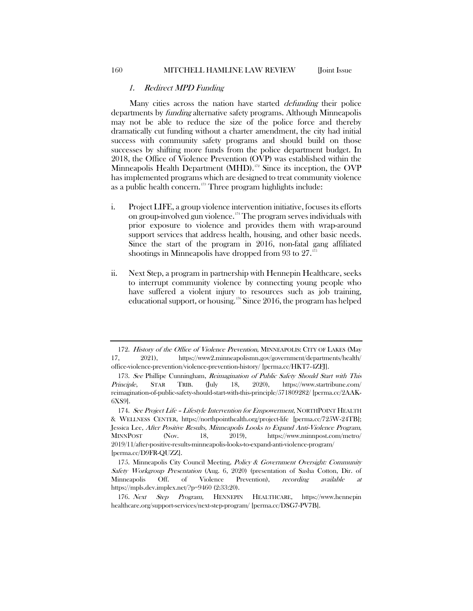#### 1. Redirect MPD Funding

Many cities across the nation have started *defunding* their police departments by funding alternative safety programs. Although Minneapolis may not be able to reduce the size of the police force and thereby dramatically cut funding without a charter amendment, the city had initial success with community safety programs and should build on those successes by shifting more funds from the police department budget. In 2018, the Office of Violence Prevention (OVP) was established within the Minneapolis Health Department (MHD).<sup>[172](#page-23-0)</sup> Since its inception, the OVP has implemented programs which are designed to treat community violence as a public health concern. [173](#page-23-1) Three program highlights include:

- i. Project LIFE, a group violence intervention initiative, focuses its efforts on group-involved gun violence.[174](#page-23-2) The program serves individuals with prior exposure to violence and provides them with wrap-around support services that address health, housing, and other basic needs. Since the start of the program in 2016, non-fatal gang affiliated shootings in Minneapolis have dropped from 93 to 27. [175](#page-23-3)
- ii. Next Step, a program in partnership with Hennepin Healthcare, seeks to interrupt community violence by connecting young people who have suffered a violent injury to resources such as job training, educational support, or housing.[176](#page-23-4) Since 2016, the program has helped

<span id="page-23-0"></span><sup>172.</sup> History of the Office of Violence Prevention, MINNEAPOLIS: CITY OF LAKES (May 17, 2021), https://www2.minneapolismn.gov/government/departments/health/ office-violence-prevention/violence-prevention-history/ [perma.cc/HKT7-4ZFJ].

<span id="page-23-1"></span><sup>173.</sup> See Phillipe Cunningham, Reimagination of Public Safety Should Start with This Principle, STAR TRIB. (July 18, 2020), https://www.startribune.com/ reimagination-of-public-safety-should-start-with-this-principle/571809282/ [perma.cc/2AAK-6XS9].

<span id="page-23-2"></span><sup>174.</sup> See Project Life - Lifestyle Intervention for Empowerment, NORTHPOINT HEALTH & WELLNESS CENTER, https://northpointhealth.org/project-life [perma.cc/725W-24TB]; Jessica Lee, After Positive Results, Minneapolis Looks to Expand Anti-Violence Program, MINNPOST (Nov. 18, 2019), https://www.minnpost.com/metro/ 2019/11/after-positive-results-minneapolis-looks-to-expand-anti-violence-program/ [perma.cc/D9FR-QUZZ].

<span id="page-23-3"></span><sup>175.</sup> Minneapolis City Council Meeting, Policy & Government Oversight: Community Safety Workgroup Presentation (Aug. 6, 2020) (presentation of Sasha Cotton, Dir. of Minneapolis Off. of Violence Prevention), recording available at https://mpls.dev.implex.net/?p=9460 (2:33:20).

<span id="page-23-4"></span><sup>176.</sup> Next Step Program, HENNEPIN HEALTHCARE, https://www.hennepin healthcare.org/support-services/next-step-program/ [perma.cc/DSG7-PV7B].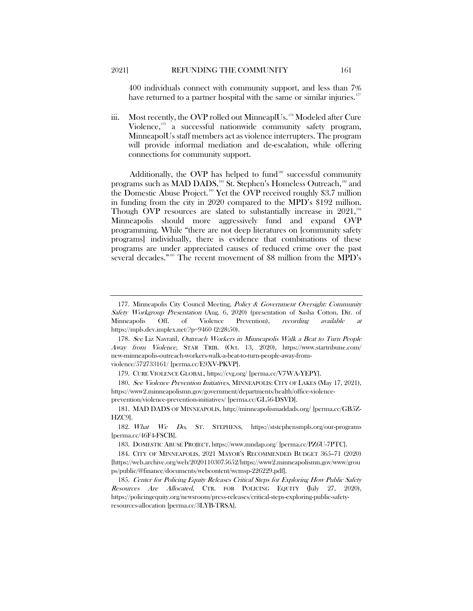400 individuals connect with community support, and less than 7% have returned to a partner hospital with the same or similar injuries.<sup>[177](#page-24-0)</sup>

iii. Most recently, the OVP rolled out MinneaplUs.<sup>[178](#page-24-1)</sup> Modeled after Cure Violence, [179](#page-24-2) a successful nationwide community safety program, MinneapolUs staff members act as violence interrupters. The program will provide informal mediation and de-escalation, while offering connections for community support.

Additionally, the OVP has helped to fund<sup>[180](#page-24-3)</sup> successful community programs such as MAD DADS,<sup>[181](#page-24-4)</sup> St. Stephen's Homeless Outreach,<sup>182</sup> and the Domestic Abuse Project.[183](#page-24-6) Yet the OVP received roughly \$3.7 million in funding from the city in 2020 compared to the MPD's \$192 million. Though OVP resources are slated to substantially increase in 2021,<sup>[184](#page-24-7)</sup> Minneapolis should more aggressively fund and expand OVP programming. While "there are not deep literatures on [community safety programs] individually, there is evidence that combinations of these programs are under appreciated causes of reduced crime over the past several decades."<sup>[185](#page-24-8)</sup> The recent movement of \$8 million from the MPD's

179. CURE VIOLENCE GLOBAL, https://cvg.org/ [perma.cc/V7WA-YEPY].

<span id="page-24-0"></span><sup>177.</sup> Minneapolis City Council Meeting, Policy & Government Oversight: Community Safety Workgroup Presentation (Aug. 6, 2020) (presentation of Sasha Cotton, Dir. of Minneapolis Off. of Violence Prevention), recording available at https://mpls.dev.implex.net/?p=9460 (2:28:50).

<span id="page-24-1"></span><sup>178.</sup> See Liz Navratil, Outreach Workers in Minneapolis Walk a Beat to Turn People Away from Violence, STAR TRIB. (Oct. 13, 2020), https://www.startribune.com/ new-minneapolis-outreach-workers-walk-a-beat-to-turn-people-away-fromviolence/572733161/ [perma.cc/E9XV-PKVP].

<span id="page-24-3"></span><span id="page-24-2"></span><sup>180.</sup> See Violence Prevention Initiatives, MINNEAPOLIS: CITY OF LAKES (May 17, 2021), https://www2.minneapolismn.gov/government/departments/health/office-violenceprevention/violence-prevention-initiatives/ [perma.cc/GL56-DSVD].

<span id="page-24-4"></span><sup>181.</sup> MAD DADS OF MINNEAPOLIS, http://minneapolismaddads.org/ [perma.cc/GB5Z-HZC9].

<span id="page-24-5"></span><sup>182.</sup> What We Do, ST. STEPHENS, https://ststephensmpls.org/our-programs [perma.cc/46F4-FSCB].

<sup>183.</sup> DOMESTIC ABUSE PROJECT, https://www.mndap.org/ [perma.cc/PZ6U-7PTC].

<span id="page-24-7"></span><span id="page-24-6"></span><sup>184.</sup> CITY OF MINNEAPOLIS, 2021 MAYOR'S RECOMMENDED BUDGET 365–71 (2020) [https://web.archive.org/web/20201103075652/https://www2.minneapolismn.gov/www/grou ps/public/@finance/documents/webcontent/wcmsp-226229.pdf].

<span id="page-24-8"></span><sup>185.</sup> Center for Policing Equity Releases Critical Steps for Exploring How Public Safety Resources Are Allocated, CTR. FOR POLICING EQUITY (July 27, 2020), https://policingequity.org/newsroom/press-releases/critical-steps-exploring-public-safetyresources-allocation [perma.cc/3LYB-TRSA].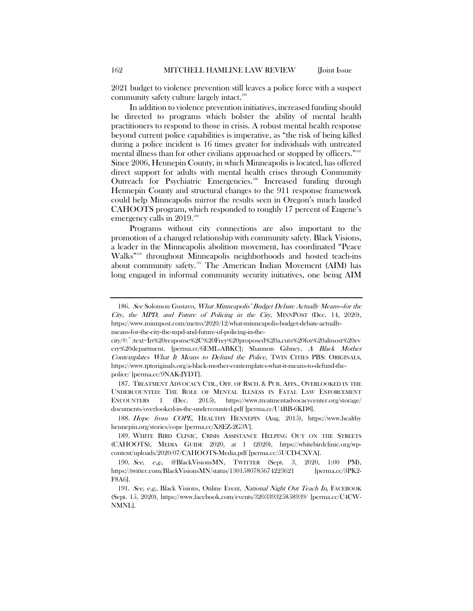2021 budget to violence prevention still leaves a police force with a suspect community safety culture largely intact.<sup>[186](#page-25-0)</sup>

In addition to violence prevention initiatives, increased funding should be directed to programs which bolster the ability of mental health practitioners to respond to those in crisis. A robust mental health response beyond current police capabilities is imperative, as "the risk of being killed during a police incident is 16 times greater for individuals with untreated mental illness than for other civilians approached or stopped by officers." [187](#page-25-1) Since 2006, Hennepin County, in which Minneapolis is located, has offered direct support for adults with mental health crises through Community Outreach for Psychiatric Emergencies.<sup>[188](#page-25-2)</sup> Increased funding through Hennepin County and structural changes to the 911 response framework could help Minneapolis mirror the results seen in Oregon's much lauded CAHOOTS program, which responded to roughly 17 percent of Eugene's emergency calls in 2019.<sup>[189](#page-25-3)</sup>

Programs without city connections are also important to the promotion of a changed relationship with community safety. Black Visions, a leader in the Minneapolis abolition movement, has coordinated "Peace Walks"<sup>[190](#page-25-4)</sup> throughout Minneapolis neighborhoods and hosted teach-ins about community safety.[191](#page-25-5) The American Indian Movement (AIM) has long engaged in informal community security initiatives, one being AIM

<span id="page-25-1"></span>187. TREATMENT ADVOCACY CTR., OFF. OF RSCH. & PUB. AFFS., OVERLOOKED IN THE UNDERCOUNTED: THE ROLE OF MENTAL ILLNESS IN FATAL LAW ENFORCEMENT ENCOUNTERS 1 (Dec. 2015), https://www.treatmentadvocacycenter.org/storage/ documents/overlooked-in-the-undercounted.pdf [perma.cc/U4BB-6KD8].

<span id="page-25-2"></span>188. Hope from COPE, HEALTHY HENNEPIN (Aug. 2015), https://www.healthy hennepin.org/stories/cope [perma.cc/X8EZ-2G3V].

<span id="page-25-0"></span><sup>186.</sup> See Solomon Gustavo, What Minneapolis' Budget Debate Actually Means-for the City, the MPD, and Future of Policing in the City, MINNPOST (Dec. 14, 2020), https://www.minnpost.com/metro/2020/12/what-minneapolis-budget-debate-actuallymeans-for-the-city-the-mpd-and-future-of-policing-in-the-

city/#:~:text=In%20response%2C%20Frey%20proposed%20a,cuts%20for%20almost%20ev ery%20department. [perma.cc/6EML-ABKC]; Shannon Gibney, A Black Mother Contemplates What It Means to Defund the Police, TWIN CITIES PBS: ORIGINALS, https://www.tptoriginals.org/a-black-mother-contemplates-what-it-means-to-defund-thepolice/ [perma.cc/9NAK-JYDT].

<span id="page-25-3"></span><sup>189.</sup> WHITE BIRD CLINIC, CRISIS ASSISTANCE HELPING OUT ON THE STREETS (CAHOOTS), MEDIA GUIDE 2020, at 1 (2020), https://whitebirdclinic.org/wpcontent/uploads/2020/07/CAHOOTS-Media.pdf [perma.cc/5UCD-CXVA].

<span id="page-25-4"></span><sup>190.</sup> See, e.g., @BlackVisionsMN, TWITTER (Sept. 3, 2020, 1:00 PM), https://twitter.com/BlackVisionsMN/status/1301580785674223621 [perma.cc/3PK2- F8A6].

<span id="page-25-5"></span><sup>191.</sup> See, e.g., Black Visions, Online Event, National Night Out Teach In, FACEBOOK (Sept. 15, 2020), https://www.facebook.com/events/320339325858939/ [perma.cc/C4CW-NMNL].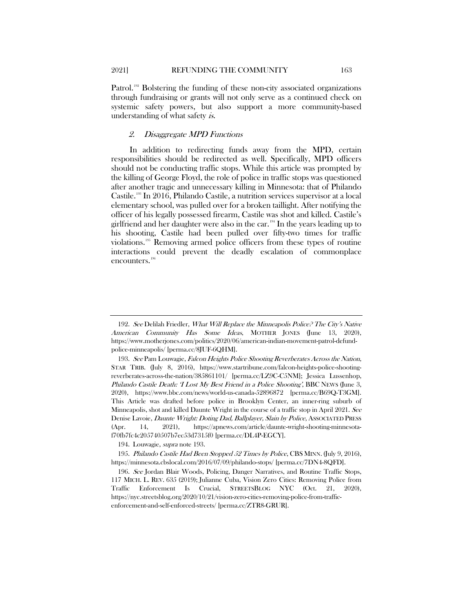Patrol.<sup>[192](#page-26-1)</sup> Bolstering the funding of these non-city associated organizations through fundraising or grants will not only serve as a continued check on systemic safety powers, but also support a more community-based understanding of what safety is.

#### 2. Disaggregate MPD Functions

<span id="page-26-0"></span>In addition to redirecting funds away from the MPD, certain responsibilities should be redirected as well. Specifically, MPD officers should not be conducting traffic stops. While this article was prompted by the killing of George Floyd, the role of police in traffic stops was questioned after another tragic and unnecessary killing in Minnesota: that of Philando Castile.[193](#page-26-2) In 2016, Philando Castile, a nutrition services supervisor at a local elementary school, was pulled over for a broken taillight. After notifying the officer of his legally possessed firearm, Castile was shot and killed. Castile's girlfriend and her daughter were also in the car. [194](#page-26-3) In the years leading up to his shooting, Castile had been pulled over fifty-two times for traffic violations.[195](#page-26-4) Removing armed police officers from these types of routine interactions could prevent the deadly escalation of commonplace encounters.<sup>[196](#page-26-5)</sup>

194. Louwagie, supra note [193.](#page-26-0)

<span id="page-26-1"></span><sup>192.</sup> See Delilah Friedler, *What Will Replace the Minneapolis Police? The City's Native* American Community Has Some Ideas, MOTHER JONES (June 13, 2020), https://www.motherjones.com/politics/2020/06/american-indian-movement-patrol-defundpolice-minneapolis/ [perma.cc/8JUF-6QHM].

<span id="page-26-2"></span><sup>193.</sup> See Pam Louwagie, Falcon Heights Police Shooting Reverberates Across the Nation, STAR TRIB. (July 8, 2016), https://www.startribune.com/falcon-heights-police-shootingreverberates-across-the-nation/385861101/ [perma.cc/LZ9C-C5NM]; Jessica Lussenhop, Philando Castile Death: 'I Lost My Best Friend in a Police Shooting', BBC NEWS (June 3, 2020), https://www.bbc.com/news/world-us-canada-52896872 [perma.cc/B69Q-T3GM]. This Article was drafted before police in Brooklyn Center, an inner-ring suburb of Minneapolis, shot and killed Daunte Wright in the course of a traffic stop in April 2021. See Denise Lavoie, Daunte Wright: Doting Dad, Ballplayer, Slain by Police, ASSOCIATED PRESS (Apr. 14, 2021), https://apnews.com/article/daunte-wright-shooting-minnesotaf70fb7fc4c205740507b7ec53d7315f0 [perma.cc/DL4P-EGCY].

<span id="page-26-4"></span><span id="page-26-3"></span><sup>195.</sup> Philando Castile Had Been Stopped 52 Times by Police, CBS MINN. (July 9, 2016), https://minnesota.cbslocal.com/2016/07/09/philando-stops/ [perma.cc/7DN4-8QFD].

<span id="page-26-5"></span><sup>196.</sup> See Jordan Blair Woods, Policing, Danger Narratives, and Routine Traffic Stops, 117 MICH. L. REV. 635 (2019); Julianne Cuba, Vision Zero Cities: Removing Police from Traffic Enforcement Is Crucial, STREETSBLOG NYC (Oct. 21, 2020), https://nyc.streetsblog.org/2020/10/21/vision-zero-cities-removing-police-from-trafficenforcement-and-self-enforced-streets/ [perma.cc/ZTR8-GRUR].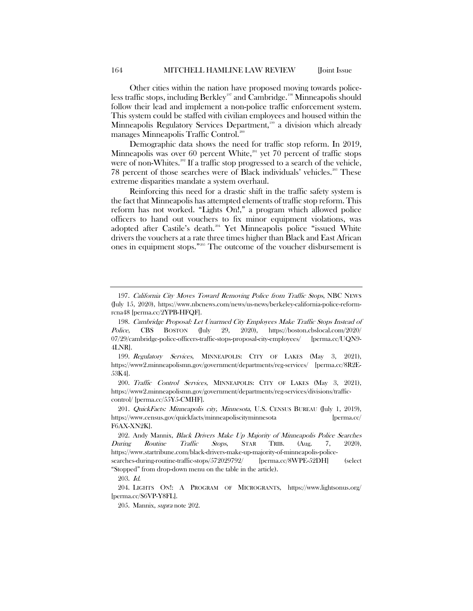Other cities within the nation have proposed moving towards police-less traffic stops, including Berkley<sup>[197](#page-27-1)</sup> and Cambridge.<sup>[198](#page-27-2)</sup> Minneapolis should follow their lead and implement a non-police traffic enforcement system. This system could be staffed with civilian employees and housed within the Minneapolis Regulatory Services Department,<sup>[199](#page-27-3)</sup> a division which already manages Minneapolis Traffic Control.<sup>[200](#page-27-4)</sup>

<span id="page-27-0"></span>Demographic data shows the need for traffic stop reform. In 2019, Minneapolis was over 60 percent White, $201$  yet 70 percent of traffic stops were of non-Whites.<sup>302</sup> If a traffic stop progressed to a search of the vehicle, 78 percent of those searches were of Black individuals' vehicles.<sup>[203](#page-27-7)</sup> These extreme disparities mandate a system overhaul.

Reinforcing this need for a drastic shift in the traffic safety system is the fact that Minneapolis has attempted elements of traffic stop reform. This reform has not worked. "Lights On!," a program which allowed police officers to hand out vouchers to fix minor equipment violations, was adopted after Castile's death.<sup>[204](#page-27-8)</sup> Yet Minneapolis police "issued White drivers the vouchers at a rate three times higher than Black and East African ones in equipment stops."[205](#page-27-9) The outcome of the voucher disbursement is

<span id="page-27-1"></span><sup>197.</sup> California City Moves Toward Removing Police from Traffic Stops, NBC NEWS (July 15, 2020), https://www.nbcnews.com/news/us-news/berkeley-california-police-reformrcna48 [perma.cc/2YPB-HFQF].

<span id="page-27-2"></span><sup>198.</sup> Cambridge Proposal: Let Unarmed City Employees Make Traffic Stops Instead of Police, CBS BOSTON (July 29, 2020), https://boston.cbslocal.com/2020/ 07/29/cambridge-police-officers-traffic-stops-proposal-city-employees/ [perma.cc/UQN9- 4LNR].

<span id="page-27-3"></span><sup>199.</sup> Regulatory Services, MINNEAPOLIS: CITY OF LAKES (May 3, 2021), https://www2.minneapolismn.gov/government/departments/reg-services/ [perma.cc/8R2E-53K4].

<span id="page-27-4"></span><sup>200.</sup> Traffic Control Services, MINNEAPOLIS: CITY OF LAKES (May 3, 2021), https://www2.minneapolismn.gov/government/departments/reg-services/divisions/trafficcontrol/ [perma.cc/55Y5-CMHF].

<span id="page-27-5"></span><sup>201.</sup> QuickFacts: Minneapolis city, Minnesota, U.S. CENSUS BUREAU (July 1, 2019), https://www.census.gov/quickfacts/minneapoliscityminnesota [perma.cc/ F6AX-XN2K].

<span id="page-27-6"></span><sup>202.</sup> Andy Mannix, Black Drivers Make Up Majority of Minneapolis Police Searches During Routine Traffic Stops, STAR TRIB. (Aug. 7, 2020), https://www.startribune.com/black-drivers-make-up-majority-of-minneapolis-policesearches-during-routine-traffic-stops/572029792/ [perma.cc/8WPE-52DH] (select

<sup>&</sup>quot;Stopped" from drop-down menu on the table in the article).

<sup>203.</sup> Id.

<span id="page-27-9"></span><span id="page-27-8"></span><span id="page-27-7"></span><sup>204.</sup> LIGHTS ON!: A PROGRAM OF MICROGRANTS, https://www.lightsonus.org/ [perma.cc/S6VP-Y8FL].

<sup>205.</sup> Mannix, supra not[e 202.](#page-27-0)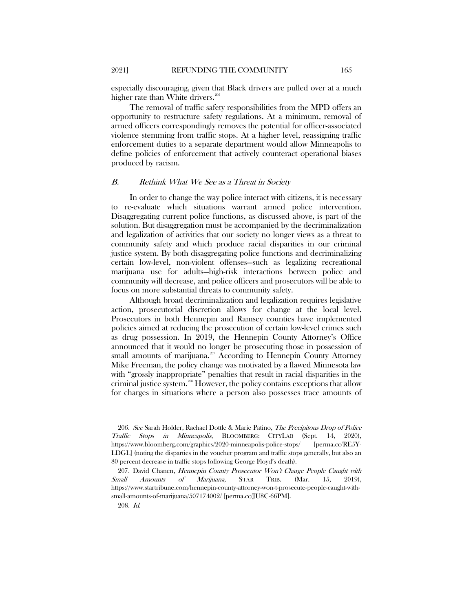The removal of traffic safety responsibilities from the MPD offers an opportunity to restructure safety regulations. At a minimum, removal of armed officers correspondingly removes the potential for officer-associated violence stemming from traffic stops. At a higher level, reassigning traffic enforcement duties to a separate department would allow Minneapolis to define policies of enforcement that actively counteract operational biases produced by racism.

#### B. Rethink What We See as a Threat in Society

In order to change the way police interact with citizens, it is necessary to re-evaluate which situations warrant armed police intervention. Disaggregating current police functions, as discussed above, is part of the solution. But disaggregation must be accompanied by the decriminalization and legalization of activities that our society no longer views as a threat to community safety and which produce racial disparities in our criminal justice system. By both disaggregating police functions and decriminalizing certain low-level, non-violent offenses—such as legalizing recreational marijuana use for adults—high-risk interactions between police and community will decrease, and police officers and prosecutors will be able to focus on more substantial threats to community safety.

Although broad decriminalization and legalization requires legislative action, prosecutorial discretion allows for change at the local level. Prosecutors in both Hennepin and Ramsey counties have implemented policies aimed at reducing the prosecution of certain low-level crimes such as drug possession. In 2019, the Hennepin County Attorney's Office announced that it would no longer be prosecuting those in possession of small amounts of marijuana.<sup>[207](#page-28-1)</sup> According to Hennepin County Attorney Mike Freeman, the policy change was motivated by a flawed Minnesota law with "grossly inappropriate" penalties that result in racial disparities in the criminal justice system.<sup>[208](#page-28-2)</sup> However, the policy contains exceptions that allow for charges in situations where a person also possesses trace amounts of

<span id="page-28-0"></span><sup>206.</sup> See Sarah Holder, Rachael Dottle & Marie Patino, The Precipitous Drop of Police Traffic Stops in Minneapolis, BLOOMBERG: CITYLAB (Sept. 14, 2020), https://www.bloomberg.com/graphics/2020-minneapolis-police-stops/ [perma.cc/RE5Y-LDGL] (noting the disparties in the voucher program and traffic stops generally, but also an 80 percent decrease in traffic stops following George Floyd's death).

<span id="page-28-2"></span><span id="page-28-1"></span><sup>207.</sup> David Chanen, Hennepin County Prosecutor Won't Charge People Caught with Small Amounts of Marijuana, STAR TRIB. (Mar. 15, 2019), https://www.startribune.com/hennepin-county-attorney-won-t-prosecute-people-caught-withsmall-amounts-of-marijuana/507174002/ [perma.cc/JU8C-66PM].

<sup>208.</sup> Id.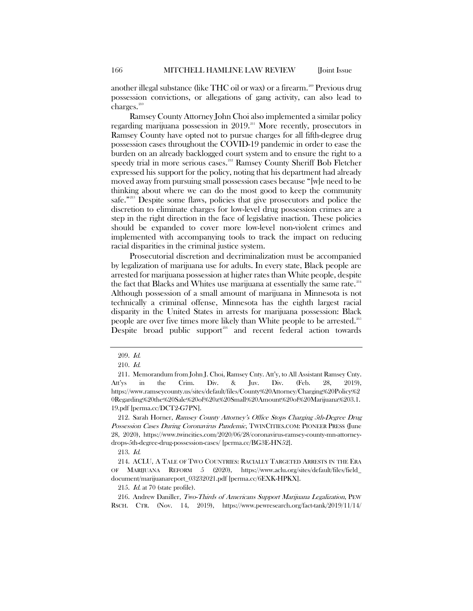another illegal substance (like THC oil or wax) or a firearm.<sup>200</sup> Previous drug possession convictions, or allegations of gang activity, can also lead to charges.<sup>[210](#page-29-1)</sup>

Ramsey County Attorney John Choi also implemented a similar policy regarding marijuana possession in 2019.<sup>[211](#page-29-2)</sup> More recently, prosecutors in Ramsey County have opted not to pursue charges for all fifth-degree drug possession cases throughout the COVID-19 pandemic in order to ease the burden on an already backlogged court system and to ensure the right to a speedy trial in more serious cases.<sup>[212](#page-29-3)</sup> Ramsey County Sheriff Bob Fletcher expressed his support for the policy, noting that his department had already moved away from pursuing small possession cases because "[w]e need to be thinking about where we can do the most good to keep the community safe."[213](#page-29-4) Despite some flaws, policies that give prosecutors and police the discretion to eliminate charges for low-level drug possession crimes are a step in the right direction in the face of legislative inaction. These policies should be expanded to cover more low-level non-violent crimes and implemented with accompanying tools to track the impact on reducing racial disparities in the criminal justice system.

Prosecutorial discretion and decriminalization must be accompanied by legalization of marijuana use for adults. In every state, Black people are arrested for marijuana possession at higher rates than White people, despite the fact that Blacks and Whites use marijuana at essentially the same rate. $214$ Although possession of a small amount of marijuana in Minnesota is not technically a criminal offense, Minnesota has the eighth largest racial disparity in the United States in arrests for marijuana possession: Black people are over five times more likely than White people to be arrested.<sup>215</sup> Despite broad public support<sup>[216](#page-29-7)</sup> and recent federal action towards

<sup>209.</sup> Id.

<sup>210.</sup> Id.

<span id="page-29-2"></span><span id="page-29-1"></span><span id="page-29-0"></span><sup>211.</sup> Memorandum from John J. Choi, Ramsey Cnty. Att'y, to All Assistant Ramsey Cnty. Att'ys in the Crim. Div. & Juv. Div. (Feb. 28, 2019), https://www.ramseycounty.us/sites/default/files/County%20Attorney/Charging%20Policy%2 0Regarding%20the%20Sale%20of%20a%20Small%20Amount%20of%20Marijuana%203.1. 19.pdf [perma.cc/DCT2-G7PN].

<span id="page-29-3"></span><sup>212.</sup> Sarah Horner, Ramsey County Attorney's Office Stops Charging 5th-Degree Drug Possession Cases During Coronavirus Pandemic, TWINCITIES.COM: PIONEER PRESS (June 28, 2020), https://www.twincities.com/2020/06/28/coronavirus-ramsey-county-mn-attorneydrops-5th-degree-drug-possession-cases/ [perma.cc/BG3E-HN52].

<sup>213.</sup> Id.

<span id="page-29-5"></span><span id="page-29-4"></span><sup>214.</sup> ACLU, A TALE OF TWO COUNTRIES: RACIALLY TARGETED ARRESTS IN THE ERA OF MARIJUANA REFORM 5 (2020), https://www.aclu.org/sites/default/files/field\_ document/marijuanareport\_03232021.pdf [perma.cc/6EXK-HPKX].

<sup>215.</sup> Id. at 70 (state profile).

<span id="page-29-7"></span><span id="page-29-6"></span><sup>216.</sup> Andrew Daniller, Two-Thirds of Americans Support Marijuana Legalization, PEW RSCH. CTR. (Nov. 14, 2019), https://www.pewresearch.org/fact-tank/2019/11/14/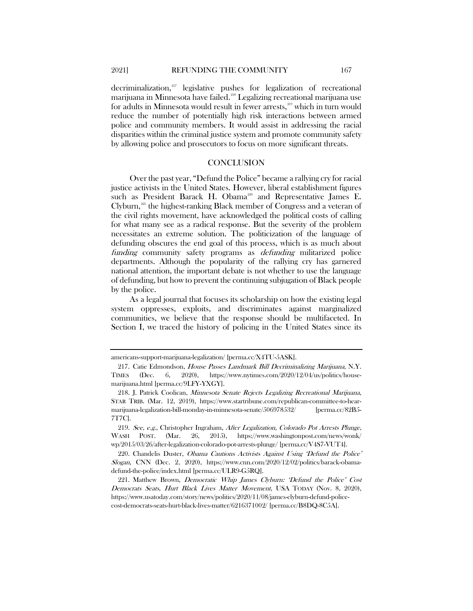decriminalization, [217](#page-30-0) legislative pushes for legalization of recreational marijuana in Minnesota have failed.<sup>[218](#page-30-1)</sup> Legalizing recreational marijuana use for adults in Minnesota would result in fewer arrests, [219](#page-30-2) which in turn would reduce the number of potentially high risk interactions between armed police and community members. It would assist in addressing the racial disparities within the criminal justice system and promote community safety by allowing police and prosecutors to focus on more significant threats.

#### **CONCLUSION**

Over the past year, "Defund the Police" became a rallying cry for racial justice activists in the United States. However, liberal establishment figures such as President Barack H. Obama<sup>[220](#page-30-3)</sup> and Representative James E. Clyburn, [221](#page-30-4) the highest-ranking Black member of Congress and a veteran of the civil rights movement, have acknowledged the political costs of calling for what many see as a radical response. But the severity of the problem necessitates an extreme solution. The politicization of the language of defunding obscures the end goal of this process, which is as much about funding community safety programs as defunding militarized police departments. Although the popularity of the rallying cry has garnered national attention, the important debate is not whether to use the language of defunding, but how to prevent the continuing subjugation of Black people by the police.

As a legal journal that focuses its scholarship on how the existing legal system oppresses, exploits, and discriminates against marginalized communities, we believe that the response should be multifaceted. In Section I, we traced the history of policing in the United States since its

americans-support-marijuana-legalization/ [perma.cc/X4TU-5ASK].

<span id="page-30-0"></span><sup>217.</sup> Catie Edmondson, House Passes Landmark Bill Decriminalizing Marijuana, N.Y. TIMES (Dec. 6, 2020), https://www.nytimes.com/2020/12/04/us/politics/housemarijuana.html [perma.cc/9LFY-YXGY].

<span id="page-30-1"></span><sup>218.</sup> J. Patrick Coolican, Minnesota Senate Rejects Legalizing Recreational Marijuana, STAR TRIB. (Mar. 12, 2019), https://www.startribune.com/republican-committee-to-hearmarijuana-legalization-bill-monday-in-minnesota-senate/506978532/ [perma.cc/82B5- 7T7C].

<span id="page-30-2"></span><sup>219.</sup> See, e.g., Christopher Ingraham, After Legalization, Colorado Pot Arrests Plunge, WASH POST. (Mar. 26, 2015), https://www.washingtonpost.com/news/wonk/ wp/2015/03/26/after-legalization-colorado-pot-arrests-plunge/ [perma.cc/V4S7-VUT4].

<span id="page-30-3"></span><sup>220.</sup> Chandelis Duster, Obama Cautions Activists Against Using 'Defund the Police' Slogan, CNN (Dec. 2, 2020), https://www.cnn.com/2020/12/02/politics/barack-obamadefund-the-police/index.html [perma.cc/ULR9-G5RQ].

<span id="page-30-4"></span><sup>221.</sup> Matthew Brown, Democratic Whip James Clyburn: 'Defund the Police' Cost Democrats Seats, Hurt Black Lives Matter Movement, USA TODAY (Nov. 8, 2020), https://www.usatoday.com/story/news/politics/2020/11/08/james-clyburn-defund-policecost-democrats-seats-hurt-black-lives-matter/6216371002/ [perma.cc/B8DQ-8C5A].